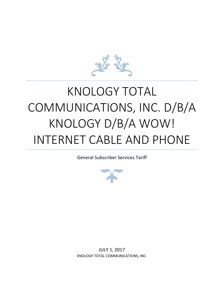

# KNOLOGY TOTAL COMMUNICATIONS, INC. D/B/A KNOLOGY D/B/A WOW! INTERNET CABLE AND PHONE

General Subscriber Services Tariff



JULY 1, 2017 KNOLOGY TOTAL COMMUNICATIONS, INC.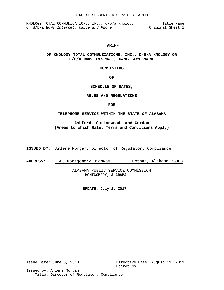KNOLOGY TOTAL COMMUNICATIONS, INC., d/b/a Knology Title Page or d/b/a *WOW!* Internet, Cable and Phone **Original** Sheet 1

#### **TARIFF**

# **OF KNOLOGY TOTAL COMMUNICATIONS, INC., D/B/A KNOLOGY OR D/B/A** *WOW! INTERNET, CABLE AND PHONE*

**CONSISTING**

**OF**

#### **SCHEDULE OF RATES,**

#### **RULES AND REGULATIONS**

**FOR**

#### **TELEPHONE SERVICE WITHIN THE STATE OF ALABAMA**

**Ashford, Cottonwood, and Gordon (Areas to Which Rate, Terms and Conditions Apply)**

**ISSUED BY:** Arlene Morgan, Director of Regulatory Compliance\_\_\_\_\_

**ADDRESS:** 2660 Montgomery Highway Dothan, Alabama 36303

ALABAMA PUBLIC SERVICE COMMISSION **MONTGOMERY, ALABAMA**

**UPDATE: July 1, 2017**

Issue Date: June 5, 2013 Effective Date: August 13, 2013 Docket No: \_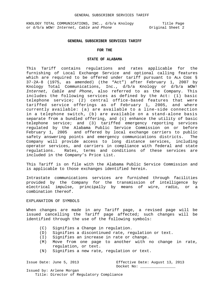KNOLOGY TOTAL COMMUNICATIONS, INC., d/b/a Knology Title Page or d/b/a *WOW!* Internet, Cable and Phone **Original** Sheet 2

#### **GENERAL SUBSCRIBER SERVICES TARIFF**

#### **FOR THE**

#### **STATE OF ALABAMA**

This Tariff contains regulations and rates applicable for the furnishing of Local Exchange Service and optional calling features which are required to be offered under tariff pursuant to ALA CODE § 37-2A-8 (1975, as amended) (the "Act") after February 1, 2007 by Knology Total Communications, Inc., d/b/a Knology or d/b/a *WOW! Internet, Cable and Phone*, also referred to as the Company. This includes the following services as defined by the Act: (1) basic telephone service; (2) central office-based features that were tariffed service offerings as of February 1, 2005, and where currently available: (a) are available to a line-side connection in a telephone switch, (b) are available on a stand-alone basis separate from a bundled offering, and (c) enhance the utility of basic telephone service; and (3) tariffed emergency reporting services regulated by the Alabama Public Service Commission on or before February 1, 2005 and offered by local exchange carriers to public safety answering points and emergency communications districts. Company will provide access to long distance services, including operator services, and carriers in compliance with federal and state regulations. Rates, terms and conditions of these services are included in the Company's Price List.

This Tariff is on file with the Alabama Public Service Commission and is applicable to those exchanges identified herein.

Intrastate communications services are furnished through facilities provided by the Company for the transmission of intelligence by electrical impulse, principally by means of wire, radio, or a combination thereof.

#### EXPLANATION OF SYMBOLS

When changes are made in any Tariff page, a revised page will be issued cancelling the Tariff page affected; such changes will be identified through the use of the following symbols:

- (C) Signifies a Change in regulation.
- (D) Signifies a discontinued rate, regulation or text.
- (I) Signifies an increase in rate or change.
- (M) Move from one page to another with no change in rate, regulation, or text.
- (N) Signifies a new rate, regulation or text.

Issue Date: June 5, 2013 Effective Date: August 13, 2013 Docket No: \_\_\_\_\_\_\_\_\_\_\_\_\_\_\_\_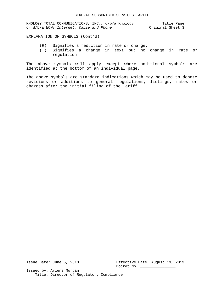KNOLOGY TOTAL COMMUNICATIONS, INC., d/b/a Knology Title Page or d/b/a *WOW!* Internet, Cable and Phone **Original** Sheet 3

EXPLANATION OF SYMBOLS (Cont'd)

- 
- (R) Signifies a reduction in rate or charge.<br>(T) Signifies a change in text but no Signifies a change in text but no change in rate or regulation.

The above symbols will apply except where additional symbols are identified at the bottom of an individual page.

The above symbols are standard indications which may be used to denote revisions or additions to general regulations, listings, rates or charges after the initial filing of the Tariff.

Issue Date: June 5, 2013 Effective Date: August 13, 2013 Docket No: \_\_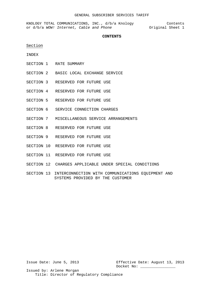KNOLOGY TOTAL COMMUNICATIONS, INC., d/b/a Knology Contents or d/b/a *WOW!* Internet, Cable and Phone **Original** Sheet 1

#### **CONTENTS**

Section

INDEX

- SECTION 1 RATE SUMMARY
- SECTION 2 BASIC LOCAL EXCHANGE SERVICE
- SECTION 3 RESERVED FOR FUTURE USE
- SECTION 4 RESERVED FOR FUTURE USE
- SECTION 5 RESERVED FOR FUTURE USE
- SECTION 6 SERVICE CONNECTION CHARGES
- SECTION 7 MISCELLANEOUS SERVICE ARRANGEMENTS
- SECTION 8 RESERVED FOR FUTURE USE
- SECTION 9 RESERVED FOR FUTURE USE
- SECTION 10 RESERVED FOR FUTURE USE
- SECTION 11 RESERVED FOR FUTURE USE
- SECTION 12 CHARGES APPLICABLE UNDER SPECIAL CONDITIONS
- SECTION 13 INTERCONNECTION WITH COMMUNICATIONS EQUIPMENT AND SYSTEMS PROVIDED BY THE CUSTOMER

Issue Date: June 5, 2013 Effective Date: August 13, 2013 Docket No: \_\_\_\_\_\_\_\_\_\_\_\_\_\_\_\_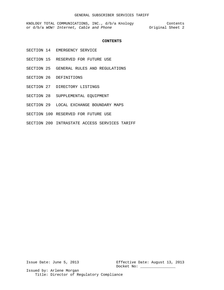KNOLOGY TOTAL COMMUNICATIONS, INC., d/b/a Knology Contents or d/b/a *WOW!* Internet, Cable and Phone **Original** Sheet 2

#### **CONTENTS**

- SECTION 14 EMERGENCY SERVICE
- SECTION 15 RESERVED FOR FUTURE USE
- SECTION 25 GENERAL RULES AND REGULATIONS
- SECTION 26 DEFINITIONS
- SECTION 27 DIRECTORY LISTINGS
- SECTION 28 SUPPLEMENTAL EQUIPMENT
- SECTION 29 LOCAL EXCHANGE BOUNDARY MAPS
- SECTION 100 RESERVED FOR FUTURE USE
- SECTION 200 INTRASTATE ACCESS SERVICES TARIFF

Issue Date: June 5, 2013 Effective Date: August 13, 2013 Docket No: \_\_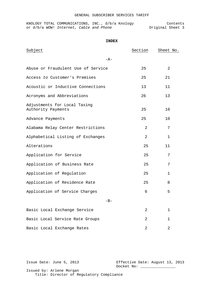|  | KNOLOGY TOTAL COMMUNICATIONS, INC., d/b/a Knology |  |  |                  | Contents |  |
|--|---------------------------------------------------|--|--|------------------|----------|--|
|  | or d/b/a WOW! Internet, Cable and Phone           |  |  | Original Sheet 3 |          |  |

| Subject                                            | Section | Sheet No.      |
|----------------------------------------------------|---------|----------------|
| $-A-$                                              |         |                |
| Abuse or Fraudulent Use of Service                 | 25      | $\overline{2}$ |
| Access to Customer's Premises                      | 25      | 21             |
| Acoustic or Inductive Connections                  | 13      | 11             |
| Acronyms and Abbreviations                         | 26      | 13             |
| Adjustments for Local Taxing<br>Authority Payments | 25      | 16             |
| Advance Payments                                   | 25      | 10             |
| Alabama Relay Center Restrictions                  | 2       | 7              |
| Alphabetical Listing of Exchanges                  | 2       | $\mathbf 1$    |
| Alterations                                        | 25      | 11             |
| Application for Service                            | 25      | 7              |
| Application of Business Rate                       | 25      | 7              |
| Application of Regulation                          | 25      | $\mathbf 1$    |
| Application of Residence Rate                      | 25      | 8              |
| Application of Service Charges                     | 6       | 5              |
| $-B-$                                              |         |                |
| Basic Local Exchange Service                       | 2       | $\mathbf{1}$   |
| Basic Local Service Rate Groups                    | 2       | $\mathbf{1}$   |
| Basic Local Exchange Rates                         | 2       | 2              |

Issue Date: June 5, 2013 Effective Date: August 13, 2013 Docket No: \_\_\_\_\_\_\_\_\_\_\_\_\_\_\_\_ Issued by: Arlene Morgan Title: Director of Regulatory Compliance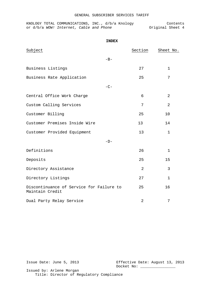KNOLOGY TOTAL COMMUNICATIONS, INC., d/b/a Knology Contents or d/b/a *WOW!* Internet, Cable and Phone **Original** Sheet 4

|                                                             | <b>INDEX</b> |         |                |
|-------------------------------------------------------------|--------------|---------|----------------|
| Subject                                                     |              | Section | Sheet No.      |
|                                                             | $-B-$        |         |                |
| Business Listings                                           |              | 27      | $\mathbf 1$    |
| Business Rate Application                                   |              | 25      | 7              |
|                                                             | $-C-$        |         |                |
| Central Office Work Charge                                  |              | 6       | 2              |
| Custom Calling Services                                     |              | 7       | $\overline{2}$ |
| Customer Billing                                            |              | 25      | 10             |
| Customer Premises Inside Wire                               |              | 13      | 14             |
| Customer Provided Equipment                                 |              | 13      | $\mathbf{1}$   |
|                                                             | $-D-$        |         |                |
| Definitions                                                 |              | 26      | 1              |
| Deposits                                                    |              | 25      | 15             |
| Directory Assistance                                        |              | 2       | 3              |
| Directory Listings                                          |              | 27      | $\mathbf 1$    |
| Discontinuance of Service for Failure to<br>Maintain Credit |              | 25      | 16             |
| Dual Party Relay Service                                    |              | 2       | 7              |

Issue Date: June 5, 2013 Effective Date: August 13, 2013 Docket No: \_\_\_\_\_\_\_\_\_\_\_\_\_\_\_\_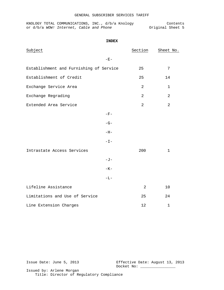|  | KNOLOGY TOTAL COMMUNICATIONS, INC., d/b/a Knology |  |  |                  | Contents |  |
|--|---------------------------------------------------|--|--|------------------|----------|--|
|  | or d/b/a WOW! Internet, Cable and Phone           |  |  | Original Sheet 5 |          |  |

```
INDEX
```

| Subject                                 |                 | Section        | Sheet No.      |
|-----------------------------------------|-----------------|----------------|----------------|
|                                         | $-E-$           |                |                |
| Establishment and Furnishing of Service |                 | 25             | 7              |
| Establishment of Credit                 |                 | 25             | 14             |
| Exchange Service Area                   |                 | 2              | $\mathbf{1}$   |
| Exchange Regrading                      |                 | $\overline{a}$ | $\overline{a}$ |
| Extended Area Service                   |                 | $\overline{2}$ | $\overline{2}$ |
|                                         | $-{\rm F}-$     |                |                |
|                                         | $-G-$           |                |                |
|                                         | $-H-$           |                |                |
|                                         | $-\mathbb{I}$ – |                |                |
| Intrastate Access Services              |                 | 200            | $\mathbf{1}$   |
|                                         | $-J-$           |                |                |
|                                         | $-K-$           |                |                |
|                                         | $-\mathbf{L}-$  |                |                |
| Lifeline Assistance                     |                 | $\overline{a}$ | 10             |
| Limitations and Use of Service          |                 | 25             | 24             |
| Line Extension Charges                  |                 | 12             | $\mathbf 1$    |

Issue Date: June 5, 2013 Effective Date: August 13, 2013 Docket No: \_\_\_\_\_\_\_\_\_\_\_\_\_\_\_\_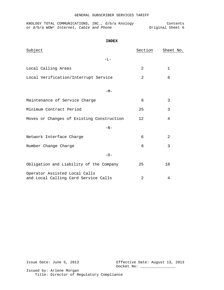|  | KNOLOGY TOTAL COMMUNICATIONS, INC., d/b/a Knology |  |  |                  | Contents |  |
|--|---------------------------------------------------|--|--|------------------|----------|--|
|  | or d/b/a WOW! Internet, Cable and Phone           |  |  | Original Sheet 6 |          |  |

| <b>INDEX</b>                                                          |         |              |
|-----------------------------------------------------------------------|---------|--------------|
| Subject                                                               | Section | Sheet No.    |
| $-L-$                                                                 |         |              |
| Local Calling Areas                                                   | 2       | $\mathbf{1}$ |
| Local Verification/Interrupt Service                                  | 2       | 6            |
| $-M-$                                                                 |         |              |
| Maintenance of Service Charge                                         | 6       | 3            |
| Minimum Contract Period                                               | 25      | 3            |
| Moves or Changes of Existing Construction                             | 12      | 4            |
| $-N-$                                                                 |         |              |
| Network Interface Charge                                              | 6       | 2            |
| Number Change Charge                                                  | 6       | 3            |
| $-O-$                                                                 |         |              |
| Obligation and Liability of the Company                               | 25      | 18           |
| Operator Assisted Local Calls<br>and Local Calling Card Service Calls | 2       | 4            |

Issue Date: June 5, 2013 Effective Date: August 13, 2013 Docket No: \_\_\_\_\_\_\_\_\_\_\_\_\_\_\_\_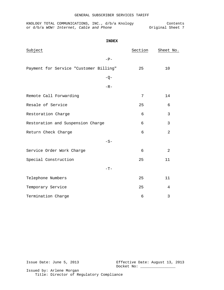|  | KNOLOGY TOTAL COMMUNICATIONS, INC., d/b/a Knology |  |  |                  | Contents |  |
|--|---------------------------------------------------|--|--|------------------|----------|--|
|  | or d/b/a WOW! Internet, Cable and Phone           |  |  | Original Sheet 7 |          |  |

| Subject                                | Section | Sheet No.      |
|----------------------------------------|---------|----------------|
| $-P-$                                  |         |                |
| Payment for Service "Customer Billing" | 25      | 10             |
| $-Q-$                                  |         |                |
| $-R-$                                  |         |                |
| Remote Call Forwarding                 | 7       | 14             |
| Resale of Service                      | 25      | 6              |
| Restoration Charge                     | 6       | 3              |
| Restoration and Suspension Charge      | 6       | 3              |
| Return Check Charge                    | 6       | 2              |
| $-S-$                                  |         |                |
| Service Order Work Charge              | 6       | $\overline{2}$ |
| Special Construction                   | 25      | 11             |
| $-T-$                                  |         |                |
| Telephone Numbers                      | 25      | 11             |
| Temporary Service                      | 25      | 4              |
| Termination Charge                     | 6       | 3              |

Issue Date: June 5, 2013 Effective Date: August 13, 2013 Docket No: \_\_\_\_\_\_\_\_\_\_\_\_\_\_\_\_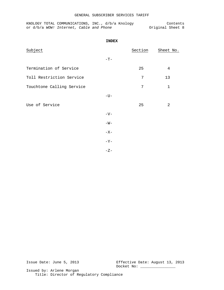KNOLOGY TOTAL COMMUNICATIONS, INC., d/b/a Knology Contents or d/b/a *WOW!* Internet, Cable and Phone **Original Sheet** 8

|                           | <b>INDEX</b> |         |           |
|---------------------------|--------------|---------|-----------|
| Subject                   |              | Section | Sheet No. |
|                           | $-{\rm T}-$  |         |           |
| Termination of Service    |              | 25      | 4         |
| Toll Restriction Service  |              | 7       | 13        |
| Touchtone Calling Service |              | 7       | $1\,$     |
|                           | $-U-$        |         |           |
| Use of Service            |              | 25      | 2         |
|                           | $-V-$        |         |           |
|                           | $-W-$        |         |           |
|                           | $-X-$        |         |           |
|                           | $-Y-$        |         |           |
|                           | $-Z-$        |         |           |

Issue Date: June 5, 2013 Effective Date: August 13, 2013 Docket No: \_\_\_\_\_ Issued by: Arlene Morgan

Title: Director of Regulatory Compliance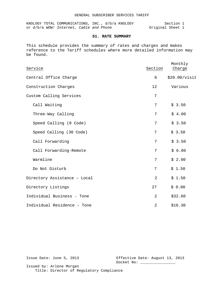KNOLOGY TOTAL COMMUNICATIONS, INC., d/b/a KNOLOGY Section 1 or d/b/a *WOW!* Internet, Cable and Phone **Original** Sheet 1

# **S1. RATE SUMMARY**

This schedule provides the summary of rates and charges and makes reference to the Tariff schedules where more detailed information may be found.

| Service                      | Section | Monthly<br>Charge |
|------------------------------|---------|-------------------|
| Central Office Charge        | 6       | \$20.00/visit     |
| Construction Charges         | 12      | Various           |
| Custom Calling Services      | 7       |                   |
| Call Waiting                 | 7       | \$3.50            |
| Three-Way Calling            | 7       | \$4.00            |
| Speed Calling (8 Code)       | 7       | \$3.50            |
| Speed Calling (30 Code)      | 7       | \$3.50            |
| Call Forwarding              | 7       | \$3.50            |
| Call Forwarding-Remote       | 7       | \$6.00            |
| Warmline                     | 7       | \$2.00            |
| Do Not Disturb               | 7       | \$1.50            |
| Directory Assistance - Local | 2       | \$1.50            |
| Directory Listings           | 27      | \$0.00            |
| Individual Business - Tone   | 2       | \$32.60           |
| Individual Residence - Tone  | 2       | \$16.30           |

Issue Date: June 5, 2013 Effective Date: August 13, 2013 Docket No: \_\_\_\_\_\_\_\_\_\_\_\_\_\_\_\_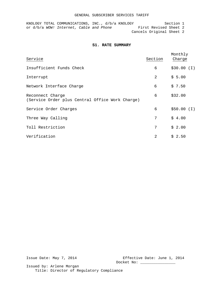KNOLOGY TOTAL COMMUNICATIONS, INC., d/b/a KNOLOGY Section 1 or d/b/a *WOW!* Internet, Cable and Phone First Revised Sheet 2 Cancels Original Sheet 2

#### **S1. RATE SUMMARY**

| Service                                                             | Section | Monthly<br>Charge |
|---------------------------------------------------------------------|---------|-------------------|
| Insufficient Funds Check                                            | 6       | \$30.00 (I)       |
| Interrupt                                                           | 2       | \$5.00            |
| Network Interface Charge                                            | 6       | \$7.50            |
| Reconnect Charge<br>(Service Order plus Central Office Work Charge) | 6       | \$32.00           |
| Service Order Charges                                               | 6       | \$50.00 (I)       |
| Three Way Calling                                                   | 7       | \$4.00            |
| Toll Restriction                                                    | 7       | \$2.00            |
| Verification                                                        | 2       | \$2.50            |

Issue Date: May 7, 2014 Effective Date: June 1, 2014 Docket No: \_\_\_\_\_\_\_\_\_\_\_\_\_\_\_\_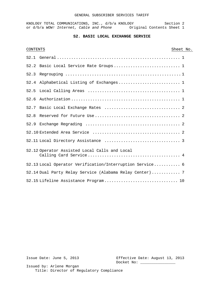#### GENERAL SUBSCRIBER SERVICES TARIFF

KNOLOGY TOTAL COMMUNICATIONS, INC., d/b/a KNOLOGY Section 2 or d/b/a WOW! Internet, Cable and Phone **Original Contents Sheet 1** 

# **S2. BASIC LOCAL EXCHANGE SERVICE**

| <b>CONTENTS</b> |                                                          | Sheet No. |
|-----------------|----------------------------------------------------------|-----------|
|                 |                                                          |           |
|                 |                                                          |           |
|                 |                                                          |           |
|                 |                                                          |           |
|                 |                                                          |           |
| S2.6            |                                                          |           |
|                 |                                                          |           |
|                 |                                                          |           |
|                 |                                                          |           |
|                 |                                                          |           |
|                 |                                                          |           |
|                 | S2.12 Operator Assisted Local Calls and Local            |           |
|                 | S2.13 Local Operator Verification/Interruption Service 6 |           |
|                 | S2.14 Dual Party Relay Service (Alabama Relay Center) 7  |           |
|                 |                                                          |           |

Issue Date: June 5, 2013 Effective Date: August 13, 2013 Docket No: \_\_\_\_\_\_\_\_\_\_\_\_\_\_\_\_\_\_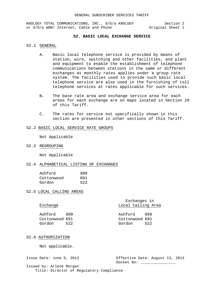KNOLOGY TOTAL COMMUNICATIONS, INC., d/b/a KNOLOGY Section 2<br>or d/b/a WOW! Internet, Cable and Phone 0riginal Sheet 1 or d/b/a WOW! Internet, Cable and Phone

### **S2. BASIC LOCAL EXCHANGE SERVICE**

#### S2.1 GENERAL

- A. Basic local telephone service is provided by means of station, wire, switching and other facilities, and plant and equipment to enable the establishment of telephone communications between stations in the same or different exchanges at monthly rates applies under a group rate system. The facilities used to provide such basic local telephone service are also used in the furnishing of toll telephone services at rates applicable for such services.
- B. The base rate area and exchange service area for each areas for each exchange are on maps located in Section 29 of this Tariff.
- C. The rates for service not specifically shown in this section are presented in other sections of this Tariff.

#### S2.2 BASIC LOCAL SERVICE RATE GROUPS

Not Applicable

S2.3 REGROUPING

Not Applicable

#### S2.4 ALPHABETICAL LISTING OF EXCHANGES

| Ashford    | 899 |
|------------|-----|
| Cottonwood | 691 |
| Gordon     | 522 |

S2.5 LOCAL CALLING AREAS

| Exchange                            |            | Exchanges in<br>Local Calling Area  |            |
|-------------------------------------|------------|-------------------------------------|------------|
| Ashford<br>Cottonwood 691<br>Gordon | 899<br>522 | Ashford<br>Cottonwood 691<br>Gordon | 899<br>522 |

#### S2.6 AUTHORIZATION

Not applicable.

Issue Date: June 5, 2013 Effective Date: August 13, 2013 Docket No: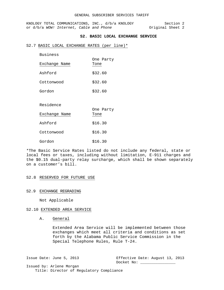KNOLOGY TOTAL COMMUNICATIONS, INC., d/b/a KNOLOGY Section 2<br>or d/b/a WOW! Internet, Cable and Phone 0riginal Sheet 2 or d/b/a WOW! Internet, Cable and Phone

# **S2. BASIC LOCAL EXCHANGE SERVICE**

#### S2.7 BASIC LOCAL EXCHANGE RATES (per line)\*

| <b>Business</b> |                   |
|-----------------|-------------------|
| Exchange Name   | One Party<br>Tone |
|                 |                   |
| Ashford         | \$32.60           |
| Cottonwood      | \$32.60           |
| Gordon          | \$32.60           |
|                 |                   |
| Residence       | One Party         |
| Exchange Name   | Tone              |
| Ashford         | \$16.30           |
| Cottonwood      | \$16.30           |
| Gordon          | \$16.30           |

\*The Basic Service Rates listed do not include any federal, state or local fees or taxes, including without limitation, E-911 charges and the \$0.15 dual-party relay surcharge, which shall be shown separately on a customer's bill.

#### S2.8 RESERVED FOR FUTURE USE

#### S2.9 EXCHANGE REGRADING

Not Applicable

# S2.10 EXTENDED AREA SERVICE

A. General

Extended Area Service will be implemented between those exchanges which meet all criteria and conditions as set forth by the Alabama Public Service Commission in the Special Telephone Rules, Rule T-24.

Issue Date: June 5, 2013 Effective Date: August 13, 2013 Docket No: \_\_\_\_\_\_\_\_\_\_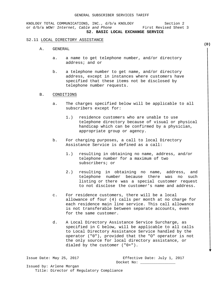KNOLOGY TOTAL COMMUNICATIONS, INC., d/b/a KNOLOGY Section 2<br>or d/b/a WOW! Internet, Cable and Phone First Revised Sheet 3 or d/b/a WOW! Internet, Cable and Phone **S2. BASIC LOCAL EXCHANGE SERVICE**

#### S2.11 LOCAL DIRECTORY ASSISTANCE

- A. GENERAL
	- a. a name to get telephone number, and/or directory address; and or
	- b. a telephone number to get name, and/or directory address, except in instances where customers have specified that these items not be disclosed by telephone number requests.

#### B. CONDITIONS

- a. The charges specified below will be applicable to all subscribers except for:
	- 1.) residence customers who are unable to use telephone directory because of visual or physical handicap which can be confirmed by a physician, appropriate group or agency.
- b. For charging purposes, a call to local Directory Assistance Service is defined as a call:
	- 1.) resulting in obtaining no name, address, and/or telephone number for a maximum of two subscribers; or
	- 2.) resulting in obtaining no name, address, and telephone number because there was no such listing or there was a special customer request to not disclose the customer's name and address.
- c. For residence customers, there will be a local allowance of four (4) calls per month at no charge for each residence main line service. This call allowance is not transferable between separate accounts, even for the same customer.
- d. A Local Directory Assistance Service Surcharge, as specified in C below, will be applicable to all calls to Local Directory Assistance Service handled by the operator ("0"), provided that the "O" operator is not the only source for local directory assistance, or dialed by the customer ("0+").

Issue Date: May 25, 2017 Effective Date: July 1, 2017 Docket No: Issued by: Arlene Morgan

Title: Director of Regulatory Compliance

**(D)**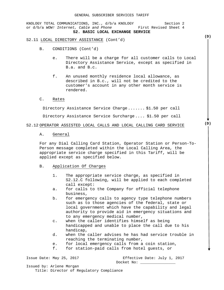KNOLOGY TOTAL COMMUNICATIONS, INC.,  $d/b/a$  KNOLOGY Section 2<br>or  $d/b/a$  WOW! Internet, Cable and Phone First Revised Sheet 4 or d/b/a WOW! Internet, Cable and Phone  **S2. BASIC LOCAL EXCHANGE SERVICE**

### S2.11 LOCAL DIRECTORY ASSISTANCE (Cont'd)

- B. CONDITIONS (Cont'd)
	- e. There will be a charge for all customer calls to Local Directory Assistance Service, except as specified in B.a. and B.c.
	- f. An unused monthly residence local allowance, as described in B.c., will not be credited to the customer's account in any other month service is rendered.

#### C. Rates

Directory Assistance Service Charge ....... \$1.50 per call

Directory Assistance Service Surcharge .... \$1.50 per call

#### S2.12 OPERATOR ASSISTED LOCAL CALLS AND LOCAL CALLING CARD SERVICE

A. General

For any Dial Calling Card Station, Operator Station or Person-To-Person message completed within the Local Calling Area, the appropriate service charge specified in this Tariff, will be applied except as specified below.

#### B. Application Of Charges

- 1. The appropriate service charge, as specified in S2.12.C following, will be applied to each completed call except:
- a. for calls to the Company for official telephone business,
- b. for emergency calls to agency type telephone numbers such as to those agencies of the federal, state or local government which have the capability and legal authority to provide aid in emergency situations and to any emergency medical number,
- c. when the caller identifies himself as being handicapped and unable to place the call due to his handicap,
- d. when the caller advises he has had service trouble in reaching the terminating number,
- e. for local emergency calls from a coin station,<br>f. for station-paid calls from hotel quests, or
- for station-paid calls from hotel quests, or

Issue Date: May 25, 2017 Effective Date: July 1, 2017 Docket No:

Issued by: Arlene Morgan Title: Director of Regulatory Compliance **(D)**

**(D)**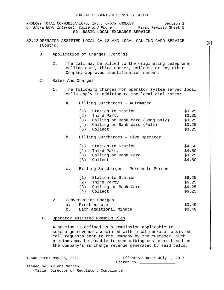KNOLOGY TOTAL COMMUNICATIONS, INC., d/b/a KNOLOGY Section 2 or d/b/a *WOW! Internet, Cable and Phone* First Revised Sheet 5  **S2. BASIC LOCAL EXCHANGE SERVICE**

- S2.12 OPERATOR ASSISTED LOCAL CALLS AND LOCAL CALLING CARD SERVICE (Cont'd)
	- B. Application of Charges (Cont'd)
		- 2. The call may be billed to the originating telephone, calling card, third number, collect, or any other Company-approved identification number.
	- C. Rates And Charges
		- 1. The following charges for operator system served local calls apply in addition to the local dial rates:
			- a. Billing Surcharges Automated

|    |           | (1) Station to Station<br>(2) Third Party<br>(3) Calling or Bank card (Bong only)<br>(4) Calling or Bank card (Full)<br>(5) Collect | \$3.25<br>\$3.35<br>\$3.25<br>\$3.25<br>\$3.25 |
|----|-----------|-------------------------------------------------------------------------------------------------------------------------------------|------------------------------------------------|
|    | b.        | Billing Surcharges - Live Operator                                                                                                  |                                                |
|    |           | (1) Station to Station<br>(2) Third Party<br>(3) Calling or Bank Card<br>(3) Collect                                                | \$4.50<br>\$4.50<br>\$3.25<br>\$4.50           |
|    | $\circ$ . | Billing Surcharges - Person to Person                                                                                               |                                                |
|    |           | (1) Station to Station<br>(2) Third Party<br>(3) Calling or Bank Card<br>(4) Collect                                                | \$6.25<br>\$6.25<br>\$6.25<br>\$6.25           |
| 2. |           | Conversation Charges                                                                                                                |                                                |
|    |           | a. First minute                                                                                                                     | \$0.49                                         |
|    |           | b. Each additional minute                                                                                                           | \$0.49                                         |

D. Operator Assisted Premium Plan

A premium is defined as a commission applicable to surcharge revenue associated with local operator assisted call requests sent to the Company by the customer. Such premiums may be payable to subscribing customers based on the Company's surcharge revenue generated by said calls.

Issue Date: May 25, 2017 Effective Date: July 1, 2017 Docket No: Issued by: Arlene Morgan

Title: Director of Regulatory Compliance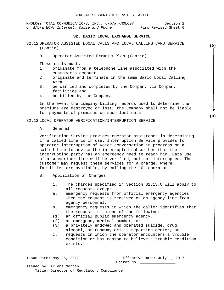KNOLOGY TOTAL COMMUNICATIONS, INC.,  $d/b/a$  KNOLOGY Section 2<br>or  $d/b/a$  WOW! Internet, Cable and Phone Firs Revised Sheet 6 or d/b/a *WOW! Internet, Cable and Phone* 

#### **S2. BASIC LOCAL EXCHANGE SERVICE**

- S2.12 OPERATOR ASSISTED LOCAL CALLS AND LOCAL CALLING CARD SERVICE (Cont'd)
	- D. Operator Assisted Premium Plan (Cont'd)

These calls must:<br>1. originate fr

- originate from a telephone line associated with the customer's account,
- 2. originate and terminate in the same Basic Local Calling Area,
- 3. be carried and completed by the Company via Company facilities and
- 4. be billed by the Company.

In the event the company billing records used to determine the premiums are destroyed or lost, the Company shall not be liable for payments of premiums on such lost data.

#### S2.13 LOCAL OPERATOR VERIFICATION/INTERRUPTION SERVICE

#### A. General

Verification Service provides operator assistance in determining if a called line is in use. Interruption Service provides for operator interruption of voice conversation in progress on a called line to advise the interrupted subscriber that the interrupting party has an emergency need to reach him. Data use of a subscriber line will be verified, but not interrupted. The customer may request these services for a charge, where facilities are available, by calling the "0" operator.

#### B. Application of Charges

- 1. The charges specified in Section S2.13.C will apply to all requests except
- a. emergency requests from official emergency agencies when the request is received on an agency line from agency personnel;
- b. emergency requests in which the caller identifies that the request is to one of the following:
- (1) an official public emergency agency,<br>(2) an emergency medical number, or
- an emergency medical number, or
- (3) a privately endowed and operated suicide, drug, alcohol, or runaway crisis reporting center; or
- c. requests in which the operator encounters a trouble condition or has reason to believe a trouble condition exists.

Issue Date: May 25, 2017 Effective Date: July 1, 2017 Docket No:

Issued by: Arlene Morgan Title: Director of Regulatory Compliance **(D)**

**(D)**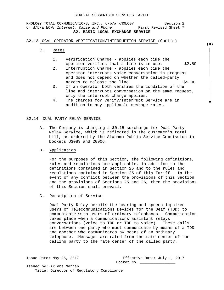KNOLOGY TOTAL COMMUNICATIONS, INC., d/b/a KNOLOGY Section 2 or d/b/a *WOW!* Internet, Cable and Phone First Revised Sheet 7 **S2. BASIC LOCAL EXCHANGE SERVICE**

# S2.13 LOCAL OPERATOR VERIFICATION/INTERRUPTION SERVICE (Cont'd)

- C. Rates
	- 1. Verification Charge applies each time the operator verifies that a line is in use.  $$2.50$
	- 2. Interruption Charge applies each time the operator interrupts voice conversation in progress and does not depend on whether the called-party agrees to release the line.  $$5.00$
	- 3. If an operator both verifies the condition of the line and interrupts conversation on the same request, only the interrupt charge applies.
	- 4. The charges for Verify/Interrupt Service are in addition to any applicable message rates.

#### S2.14 DUAL PARTY RELAY SERVICE

- A. The Company is charging a \$0.15 surcharge for Dual Party Relay Service, which is reflected in the customer's total bill, as ordered by the Alabama Public Service Commission in Dockets U3089 and 20906.
- B. Application

For the purposes of this Section, the following definitions, rules and regulations are applicable, in addition to the definitions contained in Section 26 and to the rules and regulations contained in Section 25 of this Tariff. In the event of any conflict between the provisions of this Section and the provisions of Sections 25 and 26, then the provisions of this Section shall prevail.

C. Description of Service

Dual Party Relay permits the hearing and speech impaired users of Telecommunications Devices for the Deaf (TDD) to communicate with users of ordinary telephones. Communication takes place when a communications assistant relays conversations (voice to TDD or TDD to voice). These calls are between one party who must communicate by means of a TDD and another who communicates by means of an ordinary telephone. Messages are rated from the rate center of the calling party to the rate center of the called party.

Issue Date: May 25, 2017 Effective Date: July 1, 2017

Docket No: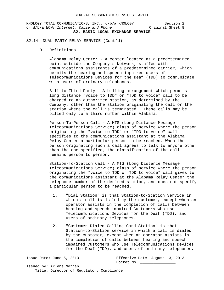KNOLOGY TOTAL COMMUNICATIONS, INC., d/b/a KNOLOGY Section 2<br>or d/b/a WOW! Internet, Cable and Phone 0riginal Sheet 8 or d/b/a WOW! Internet, Cable and Phone **S2. BASIC LOCAL EXCHANGE SERVICE**

#### S2.14 DUAL PARTY RELAY SERVICE (Cont'd)

#### D. Definitions

Alabama Relay Center - A center located at a predetermined point outside the Company's Network, staffed with communications assistants of a predetermined carrier, which permits the hearing and speech impaired users of Telecommunications Devices for the Deaf (TDD) to communicate with users of ordinary telephones.

Bill to Third Party - A billing arrangement which permits a long distance "voice to TDD" or "TDD to voice" call to be charged to an authorized station, as determined by the Company, other than the station originating the call or the station where the call is terminated. These calls may be billed only to a third number within Alabama.

Person-To-Person Call - A MTS (Long Distance Message Telecommunications Service) class of service where the person originating the "voice to TDD" or "TDD to voice" call specifies to the communications assistant at the Alabama Relay Center a particular person to be reached. When the person originating such a call agrees to talk to anyone other than the one specified, the classification of the call remains person to person.

Station-To-Station Call - A MTS (Long Distance Message Telecommunications Service) class of service where the person originating the "voice to TDD or TDD to voice" call gives to the communications assistant at the Alabama Relay Center the telephone number of the desired station, and does not specify a particular person to be reached.

- 1. "Dial Station" is that Station-to-Station Service in which a call is dialed by the customer, except when an operator assists in the completion of calls between hearing and speech impaired Customers who use Telecommunications Devices for the Deaf (TDD), and users of ordinary telephones.
- 2. "Customer Dialed Calling Card Station" is that Station-to-Station service in which a call is dialed by the customer, except when an operator assists in the completion of calls between hearing and speech impaired Customers who use Telecommunications Devices for the Deaf (TDD), and users of ordinary telephones.

Issue Date: June 5, 2013 Effective Date: August 13, 2013 Docket No: Issued by: Arlene Morgan Title: Director of Regulatory Compliance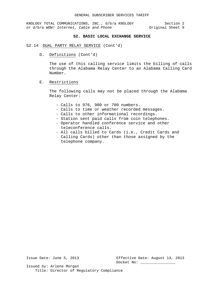KNOLOGY TOTAL COMMUNICATIONS, INC., d/b/a KNOLOGY Section 2<br>3 or d/b/a WOW! Internet, Cable and Phone or d/b/a WOW! Internet, Cable and Phone or d/b/a WOW! Internet, Cable and Phone

# **S2. BASIC LOCAL EXCHANGE SERVICE**

#### S2.14 DUAL PARTY RELAY SERVICE (Cont'd)

D. Definitions (Cont'd)

The use of this calling service limits the billing of calls through the Alabama Relay Center to an Alabama Calling Card Number.

#### E. Restrictions

The following calls may not be placed through the Alabama Relay Center:

- Calls to 976, 900 or 700 numbers.
- Calls to time or weather recorded messages.
- Calls to other informational recordings.
- Station sent paid calls from coin telephones.
- Operator handled conference service and other teleconference calls.
- All calls billed to Cards (i.e., Credit Cards and Calling Cards) other than those assigned by the telephone company.

Issue Date: June 5, 2013 Effective Date: August 13, 2013 Docket No: \_\_\_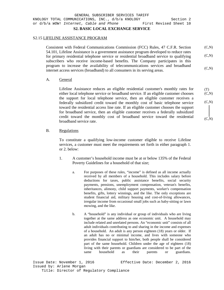# S2.15 LIFELINE ASSISTANCE PROGRAM

Consistent with Federal Communications Commission (FCC) Rules, 47 C.F.R. Section 54.101, Lifeline Assistance is a government assistance program developed to reduce rates for primary residential telephone service or residential broadband service to qualifying subscribers who receive income-based benefits. The Company participates in this program to increase the availability of telecommunications services and broadband internet access services (broadband) to all consumers in its serving areas.  $(C, N)$  $(C,N)$  $(C,N)$ 

# A. General

Lifeline Assistance reduces an eligible residential customer's monthly rates for either local telephone service or broadband service. If an eligible customer chooses the support for local telephone service, then an eligible customer receives a federally subsidized credit toward the monthly cost of basic telephone service toward the residential access line rate. If an eligible customer chooses the support for broadband service, then an eligible customer receives a federally subsidized credit toward the monthly cost of broadband service toward the residential broadband service rate.

# B. Regulations

To constitute a qualifying low-income customer eligible to receive Lifeline services, a customer must meet the requirements set forth in either paragraph 1. or 2. below:

- 1. A customer's household income must be at or below 135% of the Federal Poverty Guidelines for a household of that size;
	- a. For purposes of these rules, "income" is defined as all income actually received by all members of a household. This includes salary before deductions for taxes, public assistance benefits, social security payments, pensions, unemployment compensation, veteran's benefits, inheritances, alimony, child support payments, worker's compensation benefits, gifts, lottery winnings, and the like. The only exceptions are student financial aid, military housing and cost-of-living allowances, irregular income from occasional small jobs such as baby-sitting or lawn mowing, and the like.
	- b. A "household" is any individual or group of individuals who are living together at the same address as one economic unit. A household may include related and unrelated persons. An "economic unit" consists of all adult individuals contributing to and sharing in the income and expenses of a household. An adult is any person eighteen (18) years or older. If an adult has no or minimal income, and lives with someone who provides financial support to him/her, both people shall be considered part of the same household. Children under the age of eighteen (18) living with their parents or guardians are considered to be part of the same household as their parents or guardians.

 $(C,N)$  $(C,N)$ 

 $(C,N)$ 

(T)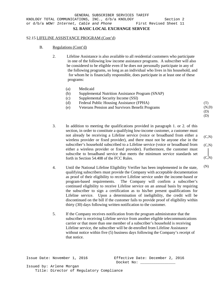#### S2.15 LIFELINE ASSISTANCE PROGRAM (Cont'd)

- B. Regulations (Cont'd)
	- 2. Lifeline Assistance is also available to all residential customers who participate in one of the following low income assistance programs. A subscriber will also be considered to be eligible even if he does not personally participate in any of the following programs, so long as an individual who lives in his household, and for whom he is financially responsible, does participate in at least one of these programs:
		- (a) Medicaid
		- (b) Supplemental Nutrition Assistance Program (SNAP)
		- (c) Supplemental Security Income (SSI)
		- (d) Federal Public Housing Assistance (FPHA)
		- (e) Veterans Pension and Survivors Benefit Programs
	- 3. In addition to meeting the qualifications provided in paragraph 1. or 2. of this section, in order to constitute a qualifying low-income customer, a customer must not already be receiving a Lifeline service (voice or broadband from either a wireless provider or fixed provider), and there must not be anyone else in the subscriber's household subscribed to a Lifeline service (voice or broadband from either a wireless provider or fixed provider). Furthermore, the customer must subscribe to broadband service that meets the minimum service standards set forth in Section 54.408 of the FCC Rules.
	- 4. Until the National Lifeline Eligibility Verifier has been implemented in the state, qualifying subscribers must provide the Company with acceptable documentation as proof of their eligibility to receive Lifeline service under the income-based or program-based requirements. The Company will confirm a subscriber's continued eligibility to receive Lifeline service on an annual basis by requiring the subscriber to sign a certification as to his/her present qualifications for Lifeline service. Upon a determination of ineligibility, the credit will be discontinued on the bill if the customer fails to provide proof of eligibility within thirty (30) days following written notification to the customer.
	- 5. If the Company receives notification from the program administrator that the subscriber is receiving Lifeline service from another eligible telecommunications carrier or that more than one member of a subscriber's household is receiving Lifeline service, the subscriber will be de-enrolled from Lifeline Assistance without notice within five (5) business days following the Company's receipt of that notice.

Issue Date: November 1, 2016 Effective Date: December 2, 2016 Docket No:

$$
(C,N)
$$
  

$$
(C,N)
$$
  

$$
(C,N)
$$
  

$$
(C,N)
$$

(T) (N,D) (D) (D)

(N)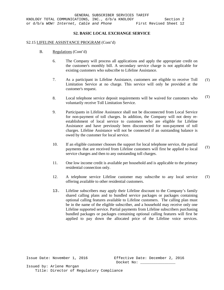#### S2.15 LIFELINE ASSISTANCE PROGRAM (Cont'd)

- B. Regulations (Cont'd)
	- 6. The Company will process all applications and apply the appropriate credit on the customer's monthly bill. A secondary service charge is not applicable for existing customers who subscribe to Lifeline Assistance.
	- 7. As a participant in Lifeline Assistance, customers are eligible to receive Toll Limitation Service at no charge. This service will only be provided at the customer's request. (T)
	- 8. Local telephone service deposit requirements will be waived for customers who voluntarily receive Toll Limitation Service. (T)
	- 9. Participants in Lifeline Assistance shall not be disconnected from Local Service for non-payment of toll charges. In addition, the Company will not deny reestablishment of local service to customers who are eligible for Lifeline Assistance and have previously been disconnected for non-payment of toll charges. Lifeline Assistance will not be connected if an outstanding balance is owed by the customer for local service.
	- 10. If an eligible customer chooses the support for local telephone service, the partial payments that are received from Lifeline customers will first be applied to local service charges and then to any outstanding toll charges. (T)
	- 11. One low income credit is available per household and is applicable to the primary residential connection only.
	- 12. A telephone service Lifeline customer may subscribe to any local service offering available to other residential customers. (T)
	- 13. Lifeline subscribers may apply their Lifeline discount to the Company's family shared calling plans and to bundled service packages or packages containing optional calling features available to Lifeline customers. The calling plan must be in the name of the eligible subscriber, and a household may receive only one Lifeline supported service. Partial payments from Lifeline subscribers purchasing bundled packages or packages containing optional calling features will first be applied to pay down the allocated price of the Lifeline voice services.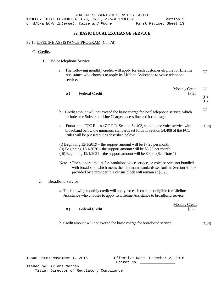# S2.15 LIFELINE ASSISTANCE PROGRAM (Cont'd)

# C. Credits

- 1. Voice telephone Service
	- a. The following monthly credits will apply for each customer eligible for Lifeline Assistance who chooses to apply its Lifeline Assistance to voice telephone service: (T)

|    | <b>Federal Credit</b><br>a)                                                                                                                                                                                                               | <b>Monthly Credit</b><br>\$9.25 | (T)        |
|----|-------------------------------------------------------------------------------------------------------------------------------------------------------------------------------------------------------------------------------------------|---------------------------------|------------|
|    |                                                                                                                                                                                                                                           |                                 | (D)<br>(D) |
|    | b. Credit amount will not exceed the basic charge for local telephone service, which<br>includes the Subscriber Line Charge, access line and local usage.                                                                                 |                                 | (T)        |
|    | c. Pursuant to FCC Rules 47 C.F.R. Section 54.403, stand-alone voice service with<br>broadband below the minimum standards set forth in Section 54.408 of the FCC<br>Rules will be phased out as described below:                         |                                 | (C,N)      |
|    | (i) Beginning $12/1/2019$ – the support amount will be \$7.25 per month<br>(ii) Beginning $12/1/2020$ – the support amount will be \$5.25 per month<br>(iii) Beginning $12/1/2021$ – the support amount will be \$0.00. (See Note 1)      |                                 |            |
|    | Note 1: The support amount for standalone voice service, or voice service not bundled<br>with broadband which meets the minimum standards set forth in Section 54.408,<br>provided by a provider in a census block will remain at \$5.25. |                                 |            |
| 2. | <b>Broadband Service</b>                                                                                                                                                                                                                  |                                 |            |
|    | a. The following monthly credit will apply for each customer eligible for Lifeline<br>Assistance who chooses to apply its Lifeline Assistance to broadband service.                                                                       |                                 |            |
|    | <b>Federal Credit</b><br>a)                                                                                                                                                                                                               | <b>Monthly Credit</b><br>\$9.25 |            |
|    | b. Credit amount will not exceed the basic charge for broadband service.                                                                                                                                                                  |                                 | (C,N)      |
|    |                                                                                                                                                                                                                                           |                                 |            |

Issue Date: November 1, 2016 Effective Date: December 2, 2016 Docket No: \_\_\_\_\_\_\_\_\_\_\_\_\_\_\_\_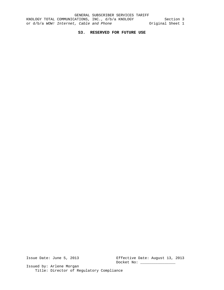# **S3. RESERVED FOR FUTURE USE**

Issue Date: June 5, 2013 Effective Date: August 13, 2013 Docket No: \_\_\_\_\_\_\_\_\_\_\_\_\_\_\_\_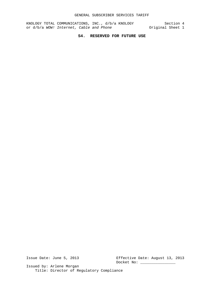KNOLOGY TOTAL COMMUNICATIONS, INC., d/b/a KNOLOGY Section 4 or d/b/a *WOW!* Internet, Cable and Phone **Original** Sheet 1

# **S4. RESERVED FOR FUTURE USE**

Issue Date: June 5, 2013 Effective Date: August 13, 2013 Docket No: \_\_\_\_\_\_\_\_\_\_\_\_\_\_\_\_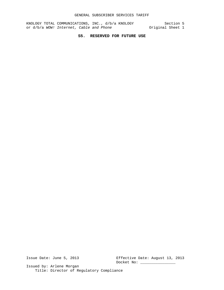KNOLOGY TOTAL COMMUNICATIONS, INC., d/b/a KNOLOGY Section 5 or d/b/a *WOW!* Internet, Cable and Phone **Original** Sheet 1

# **S5. RESERVED FOR FUTURE USE**

Issue Date: June 5, 2013 Effective Date: August 13, 2013 Docket No: \_\_\_\_\_\_\_\_\_\_\_\_\_\_\_\_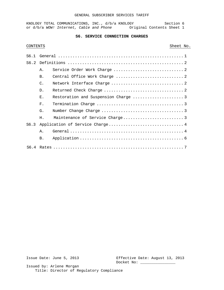#### GENERAL SUBSCRIBER SERVICES TARIFF

KNOLOGY TOTAL COMMUNICATIONS, INC., d/b/a KNOLOGY Section 6 or d/b/a WOW! Internet, Cable and Phone **Original Contents Sheet 1** 

# **S6. SERVICE CONNECTION CHARGES**

# CONTENTS Sheet No.

|      | Α.             |                                 |  |
|------|----------------|---------------------------------|--|
|      | <b>B.</b>      |                                 |  |
|      | $\mathsf{C}$ . |                                 |  |
|      | $D$ .          |                                 |  |
|      | $E$ .          |                                 |  |
|      | F.             |                                 |  |
|      | G.             |                                 |  |
|      | Η.             |                                 |  |
| S6.3 |                | Application of Service Charge 4 |  |
|      | $A$ .          |                                 |  |
|      | B.             |                                 |  |
|      |                |                                 |  |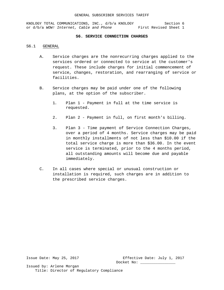KNOLOGY TOTAL COMMUNICATIONS, INC., d/b/a KNOLOGY Section 6<br>or d/b/a WOW! Internet, Cable and Phone First Revised Sheet 1 or d/b/a *WOW! Internet, Cable and Phone* 

#### **S6. SERVICE CONNECTION CHARGES**

#### S6.1 GENERAL

- A. Service charges are the nonrecurring charges applied to the services ordered or connected to service at the customer's request. These include charges for initial commencement of service, changes, restoration, and rearranging of service or facilities.
- B. Service charges may be paid under one of the following plans, at the option of the subscriber.
	- 1. Plan 1 Payment in full at the time service is requested.
	- 2. Plan 2 Payment in full, on first month's billing.
	- 3. Plan 3 Time payment of Service Connection Charges, over a period of 4 months. Service charges may be paid in monthly installments of not less than \$10.00 if the total service charge is more than \$36.00. In the event service is terminated, prior to the 4 months period, all outstanding amounts will become due and payable immediately.
- C. In all cases where special or unusual construction or installation is required, such charges are in addition to the prescribed service charges.

Issue Date: May 25, 2017 Effective Date: July 1, 2017 Docket No: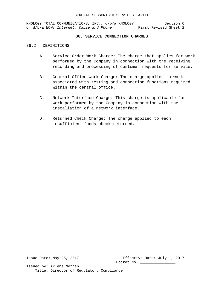KNOLOGY TOTAL COMMUNICATIONS, INC., d/b/a KNOLOGY Section 6 or d/b/a *WOW! Internet, Cable and Phone* First Revised Sheet 2

#### **S6. SERVICE CONNECTION CHARGES**

#### S6.2 DEFINITIONS

- A. Service Order Work Charge: The charge that applies for work performed by the Company in connection with the receiving, recording and processing of customer requests for service.
- B. Central Office Work Charge: The charge applied to work associated with testing and connection functions required within the central office.
- C. Network Interface Charge: This charge is applicable for work performed by the Company in connection with the installation of a network interface.
- D. Returned Check Charge: The charge applied to each insufficient funds check returned.

Issue Date: May 25, 2017 Effective Date: July 1, 2017 Docket No: \_\_\_\_\_\_\_\_\_\_\_\_\_\_\_\_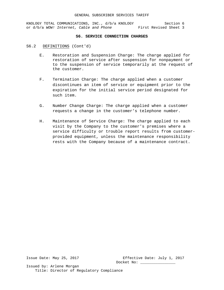KNOLOGY TOTAL COMMUNICATIONS, INC., d/b/a KNOLOGY Section 6 or d/b/a *WOW! Internet, Cable and Phone* First Revised Sheet 3

#### **S6. SERVICE CONNECTION CHARGES**

# S6.2 DEFINITIONS (Cont'd)

- E. Restoration and Suspension Charge: The charge applied for restoration of service after suspension for nonpayment or to the suspension of service temporarily at the request of the customer.
- F. Termination Charge: The charge applied when a customer discontinues an item of service or equipment prior to the expiration for the initial service period designated for such item.
- G. Number Change Charge: The charge applied when a customer requests a change in the customer's telephone number.
- H. Maintenance of Service Charge: The charge applied to each visit by the Company to the customer's premises where a service difficulty or trouble report results from customerprovided equipment, unless the maintenance responsibility rests with the Company because of a maintenance contract.

Issue Date: May 25, 2017 Effective Date: July 1, 2017 Docket No: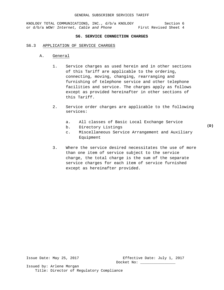#### GENERAL SUBSCRIBER SERVICES TARIFF

KNOLOGY TOTAL COMMUNICATIONS, INC., d/b/a KNOLOGY Section 6 or d/b/a *WOW! Internet, Cable and Phone* First Revised Sheet 4

#### **S6. SERVICE CONNECTION CHARGES**

#### S6.3 APPLICATION OF SERVICE CHARGES

- A. General
	- 1. Service charges as used herein and in other sections of this Tariff are applicable to the ordering, connecting, moving, changing, rearranging and furnishing of telephone service and other telephone facilities and service. The charges apply as follows except as provided hereinafter in other sections of this Tariff.
	- 2. Service order charges are applicable to the following services:
		- a. All classes of Basic Local Exchange Service
		- b. Directory Listings
		- c. Miscellaneous Service Arrangement and Auxiliary Equipment
	- 3. Where the service desired necessitates the use of more than one item of service subject to the service charge, the total charge is the sum of the separate service charges for each item of service furnished except as hereinafter provided.

Issue Date: May 25, 2017 Effective Date: July 1, 2017 Docket No:

Issued by: Arlene Morgan Title: Director of Regulatory Compliance **(D)**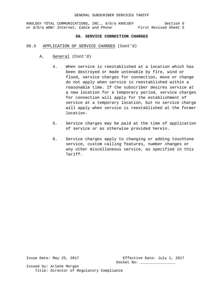#### GENERAL SUBSCRIBER SERVICES TARIFF

KNOLOGY TOTAL COMMUNICATIONS, INC., d/b/a KNOLOGY Section 6 or d/b/a *WOW! Internet, Cable and Phone* First Revised Sheet 5

## **S6. SERVICE CONNECTION CHARGES**

- S6.3 APPLICATION OF SERVICE CHARGES (Cont'd)
	- A. General (Cont'd)
		- 4. When service is reestablished at a location which has been destroyed or made untenable by fire, wind or flood, service charges for connection, move or change do not apply when service is reestablished within a reasonable time. If the subscriber desires service at a new location for a temporary period, service charges for connection will apply for the establishment of service at a temporary location, but no service charge will apply when service is reestablished at the former location.
		- 5. Service charges may be paid at the time of application of service or as otherwise provided herein.
		- 6. Service charges apply to changing or adding touchtone service, custom calling features, number changes or any other miscellaneous service, as specified in this Tariff.

Issue Date: May 25, 2017 Effective Date: July 1, 2017 Docket No: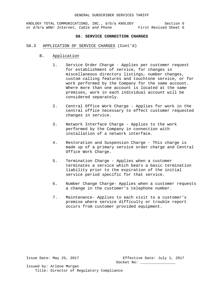## **S6. SERVICE CONNECTION CHARGES**

- S6.3 APPLICATION OF SERVICE CHARGES (Cont'd)
	- B. Application
		- 1. Service Order Charge Applies per customer request for establishment of service, for changes in miscellaneous directory listings, number changes, custom calling features and touchtone service, or for work performed by the Company for the same account. Where more than one account is located at the same premises, work in each individual account will be considered separately.
		- 2. Central Office Work Charge Applies for work in the central office necessary to effect customer requested changes in service.
		- 3. Network Interface Charge Applies to the work performed by the Company in connection with installation of a network interface.
		- 4. Restoration and Suspension Charge This charge is made up of a primary service order charge and Central Office Work Charge.
		- 5. Termination Charge Applies when a customer terminates a service which bears a basic termination liability prior to the expiration of the initial service period specific for that service.
		- 6. Number Change Charge- Applies when a customer requests a change in the customer's telephone number.
		- 7. Maintenance- Applies to each visit to a customer's premise where service difficulty or trouble report occurs from customer provided equipment.

Issue Date: May 25, 2017 Effective Date: July 1, 2017 Docket No: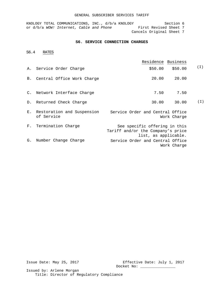## GENERAL SUBSCRIBER SERVICES TARIFF

KNOLOGY TOTAL COMMUNICATIONS, INC., d/b/a KNOLOGY Section 6 or d/b/a *WOW!* Internet, Cable and Phone First Revised Sheet 7 Cancels Original Sheet 7

## **S6. SERVICE CONNECTION CHARGES**

S6.4 RATES

|    |                               | Residence Business                                                                         |       |
|----|-------------------------------|--------------------------------------------------------------------------------------------|-------|
|    | A. Service Order Charge       | \$50.00<br>\$50.00                                                                         | ( I ) |
|    | B. Central Office Work Charge | 20.00<br>20.00                                                                             |       |
|    | C. Network Interface Charge   | 7.50<br>7.50                                                                               |       |
|    | D. Returned Check Charge      | 30.00<br>30.00                                                                             | (I)   |
|    | of Service                    | E. Restoration and Suspension Service Order and Central Office<br>Work Charge              |       |
| F. | Termination Charge            | See specific offering in this<br>Tariff and/or the Company's price<br>list, as applicable. |       |
| G. | Number Change Charge          | Service Order and Central Office<br>Work Charge                                            |       |

Issue Date: May 25, 2017 Effective Date: July 1, 2017 Docket No: \_\_\_\_\_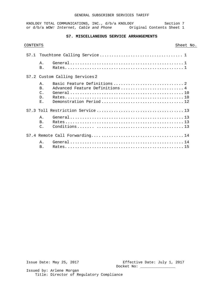# **S7. MISCELLANEOUS SERVICE ARRANGEMENTS**

## CONTENTS Sheet No.

| Α.<br><b>B</b> .                                                      |                                 |
|-----------------------------------------------------------------------|---------------------------------|
|                                                                       | S7.2 Custom Calling Services 2  |
| $A$ .<br>B <sub>1</sub><br>$\mathcal{C}$ .<br>D <sub>1</sub><br>$E$ . | Advanced Feature Definitions  4 |
|                                                                       |                                 |
| Ά.<br>B <sub>1</sub><br>$\mathcal{C}$ .                               |                                 |
|                                                                       |                                 |
| Α.<br>B <sub>1</sub>                                                  |                                 |

Issue Date: May 25, 2017 Effective Date: July 1, 2017 Docket No: \_\_\_\_\_\_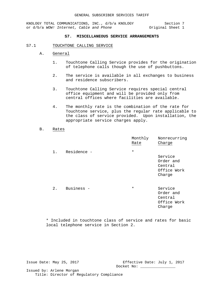KNOLOGY TOTAL COMMUNICATIONS, INC., d/b/a KNOLOGY Section 7<br>1 or d/b/a WOW! Internet, Cable and Phone Sociginal Sheet or d/b/a WOW! Internet, Cable and Phone

## **S7. MISCELLANEOUS SERVICE ARRANGEMENTS**

#### S7.1 TOUCHTONE CALLING SERVICE

- A. General
	- 1. Touchtone Calling Service provides for the origination of telephone calls though the use of pushbuttons.
	- 2. The service is available in all exchanges to business and residence subscribers.
	- 3. Touchtone Calling Service requires special central office equipment and will be provided only from central offices where facilities are available.
	- 4. The monthly rate is the combination of the rate for Touchtone service, plus the regular rate applicable to the class of service provided. Upon installation, the appropriate service charges apply.

## B. Rates

|       |             | Monthly<br>Rate | Nonrecurring<br>Charge                                   |
|-------|-------------|-----------------|----------------------------------------------------------|
| 1.    | Residence - | $\star$         | Service<br>Order and<br>Central<br>Office Work<br>Charge |
| $2$ . | Business -  | $^\star$        | Service<br>Order and<br>Central<br>Office Work<br>Charge |

\* Included in touchtone class of service and rates for basic local telephone service in Section 2.

Issue Date: May 25, 2017 Effective Date: July 1, 2017 Docket No: \_\_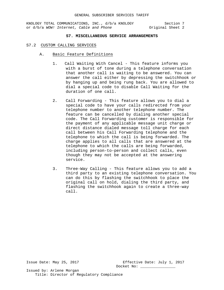KNOLOGY TOTAL COMMUNICATIONS, INC., d/b/a KNOLOGY Section 7<br>or d/b/a WOW! Internet, Cable and Phone 0riginal Sheet 2 or d/b/a WOW! Internet, Cable and Phone

# **S7. MISCELLANEOUS SERVICE ARRANGEMENTS**

#### S7.2 CUSTOM CALLING SERVICES

- A. Basic Feature Definitions
	- 1. Call Waiting With Cancel This feature informs you with a burst of tone during a telephone conversation that another call is waiting to be answered. You can answer the call either by depressing the switchhook or by hanging up and being rung back. You are allowed to dial a special code to disable Call Waiting for the duration of one call.
	- 2. Call Forwarding This feature allows you to dial a special code to have your calls redirected from your telephone number to another telephone number. The feature can be cancelled by dialing another special code. The Call Forwarding customer is responsible for the payment of any applicable message unit charge or direct distance dialed message toll charge for each call between his Call Forwarding telephone and the telephone to which the call is being forwarded. The charge applies to all calls that are answered at the telephone to which the calls are being forwarded, including person-to-person and collect calls, even though they may not be accepted at the answering service.
	- 3. Three-Way Calling This feature allows you to add a third party to an existing telephone conversation. You can do this by flashing the switchhook to place the original call on hold, dialing the third party, and flashing the switchhook again to create a three-way call.

Issue Date: May 25, 2017 Effective Date: July 1, 2017 Docket No: \_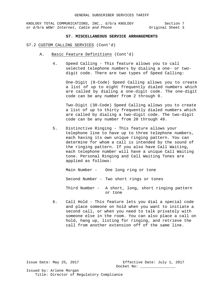KNOLOGY TOTAL COMMUNICATIONS, INC., d/b/a KNOLOGY Section 7<br>or d/b/a WOW! Internet, Cable and Phone 0riginal Sheet 3 or d/b/a WOW! Internet, Cable and Phone

## **S7. MISCELLANEOUS SERVICE ARRANGEMENTS**

#### S7.2 CUSTOM CALLING SERVICES (Cont'd)

- A. Basic Feature Definitions (Cont'd)
	- 4. Speed Calling This feature allows you to call selected telephone numbers by dialing a one- or twodigit code. There are two types of Speed Calling:

One-Digit (8-Code) Speed Calling allows you to create a list of up to eight frequently dialed numbers which are called by dialing a one-digit code. The one-digit code can be any number from 2 through 9.

Two-Digit (30-Code) Speed Calling allows you to create a list of up to thirty frequently dialed numbers which are called by dialing a two-digit code. The two-digit code can be any number from 20 through 49.

5. Distinctive Ringing - This feature allows your telephone line to have up to three telephone numbers, each having its own unique ringing pattern. You can determine for whom a call is intended by the sound of the ringing pattern. If you also have Call Waiting, each telephone number will have a unique Call Waiting tone. Personal Ringing and Call Waiting Tones are applied as follows:

Main Number - One long ring or tone Second Number - Two short rings or tones Third Number - A short, long, short ringing pattern or tone

6. Call Hold - This feature lets you dial a special code and place someone on hold when you want to initiate a second call, or when you need to talk privately with someone else in the room. You can also place a call on hold, hang up, listing for ringing, and retrieve the call from another extension off of the same line.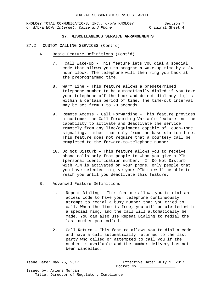KNOLOGY TOTAL COMMUNICATIONS, INC., d/b/a KNOLOGY Section 7<br>or d/b/a WOW! Internet, Cable and Phone 0riginal Sheet 4 or d/b/a WOW! Internet, Cable and Phone

## **S7. MISCELLANEOUS SERVICE ARRANGEMENTS**

#### S7.2 CUSTOM CALLING SERVICES (Cont'd)

- A. Basic Feature Definitions (Cont'd)
	- 7. Call Wake-Up This feature lets you dial a special code that allows you to program a wake-up time by a 24 hour clock. The telephone will then ring you back at the preprogrammed time.
	- 8. Warm Line This feature allows a predetermined telephone number to be automatically dialed if you take your telephone off the hook and do not dial any digits within a certain period of time. The time-out interval may be set from 1 to 28 seconds.
	- 9. Remote Access Call Forwarding This feature provides a customer the Call Forwarding Variable feature and the capability to activate and deactivate the service remotely from any line/equipment capable of Touch-Tone signaling, rather than only from the base station line. This feature does not require that a courtesy call be completed to the forward-to-telephone number.
	- 10. Do Not Disturb This feature allows you to receive phone calls only from people to whom you give a PIN (personal identification number. If Do Not Disturb with PIN is activated on your phone, only people that you have selected to give your PIN to will be able to reach you until you deactivate this feature.

## B. Advanced Feature Definitions

- 1. Repeat Dialing This feature allows you to dial an access code to have your telephone continuously attempt to redial a busy number that you tried to call. When the line is free, you will be alerted with a special ring, and the call will automatically be made. You can also use Repeat Dialing to redial the last number you called.
- 2. Call Return This feature allows you to dial a code and have a call automatically returned to the last party who called or attempted to call you if the number is available and the number delivery has not been cancelled.

Issue Date: May 25, 2017 Effective Date: July 1, 2017 Docket No: \_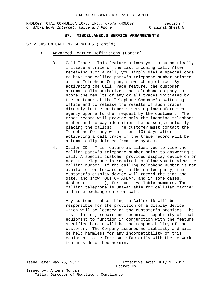KNOLOGY TOTAL COMMUNICATIONS, INC., d/b/a KNOLOGY Section 7<br>or d/b/a WOW! Internet, Cable and Phone 0riginal Sheet 5 or d/b/a WOW! Internet, Cable and Phone

#### **S7. MISCELLANEOUS SERVICE ARRANGEMENTS**

#### S7.2 CUSTOM CALLING SERVICES (Cont'd)

- B. Advanced Feature Definitions (Cont'd)
	- 3. Call Trace This feature allows you to automatically initiate a trace of the last incoming call. After receiving such a call, you simply dial a special code to have the calling party's telephone number printed at the Telephone Company's switching office. By activating the Call Trace feature, the customer automatically authorizes the Telephone Company to store the results of any or all traces initiated by the customer at the Telephone Company's switching office and to release the results of such traces directly to the customer's serving law enforcement agency upon a further request by the customer. The trace record will provide only the incoming telephone number and no way identifies the person(s) actually placing the call(s). The customer must contact the Telephone Company within ten (10) days after activating a call trace or the trace record will be automatically deleted from the system.
	- 4. Caller ID This feature is allows you to view the calling party's telephone number prior to answering a call. A special customer provided display device on or next to telephone is required to allow you to view the calling number. If the calling telephone number is not available for forwarding to the called party, the customer's display device will record the time and date, and show "OUT OF AREA", and in some cases, dashes (--- ----), for non -available numbers. The calling telephone is unavailable for cellular carrier and interexchange carrier calls.

Any customer subscribing to Caller ID will be responsible for the provision of a display device which will be located on the customer's premises. The installation, repair and technical capability of that equipment to function in conjunction with the feature specified herein will be the responsibility of the customer. The Company assumes no liability and will be held harmless for any incompatibility of this equipment to perform satisfactorily with the network features described herein.

Issue Date: May 25, 2017 Effective Date: July 1, 2017 Issued by: Arlene Morgan Title: Director of Regulatory Compliance

Docket No: \_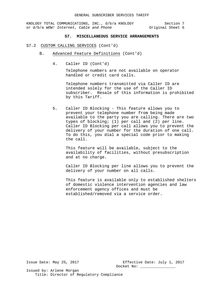KNOLOGY TOTAL COMMUNICATIONS, INC., d/b/a KNOLOGY Section 7<br>or d/b/a WOW! Internet, Cable and Phone 6 (1) 0 (1) Original Sheet 6 or d/b/a *WOW! Internet, Cable and Phone* 

## **S7. MISCELLANEOUS SERVICE ARRANGEMENTS**

#### S7.2 CUSTOM CALLING SERVICES (Cont'd)

- B. Advanced Feature Definitions (Cont'd)
	- 4. Caller ID (Cont'd)

Telephone numbers are not available on operator handled or credit card calls.

Telephone numbers transmitted via Caller ID are intended solely for the use of the Caller ID subscriber. Resale of this information is prohibited by this Tariff.

5. Caller ID Blocking - This feature allows you to prevent your telephone number from being made available to the party you are calling. There are two types of blocking; (1) per call and (2) per line. Caller ID Blocking per call allows you to prevent the delivery of your number for the duration of one call. To do this, you dial a special code prior to making the call.

This feature will be available, subject to the availability of facilities, without presubscription and at no charge.

Caller ID Blocking per line allows you to prevent the delivery of your number on all calls.

This feature is available only to established shelters of domestic violence intervention agencies and law enforcement agency offices and must be established/removed via a service order.

Issue Date: May 25, 2017 Effective Date: July 1, 2017 Docket No: \_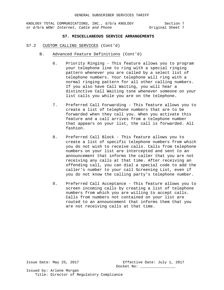KNOLOGY TOTAL COMMUNICATIONS, INC., d/b/a KNOLOGY Section 7<br>or d/b/a WOW! Internet, Cable and Phone (2013) Singles or dynamic or or d/b/a WOW! Internet, Cable and Phone

# **S7. MISCELLANEOUS SERVICE ARRANGEMENTS**

- S7.2 CUSTOM CALLING SERVICES (Cont'd)
	- B. Advanced Feature Definitions (Cont'd)
		- 6. Priority Ringing This feature allows you to program your telephone line to ring with a special ringing pattern whenever you are called by a select list of telephone numbers. Your telephone will ring with a normal ringing pattern for all other calling numbers. If you also have Call Waiting, you will hear a distinctive Call Waiting tone whenever someone on your list calls you while you are on the telephone.
		- 7. Preferred Call Forwarding This feature allows you to create a list of telephone numbers that are to be forwarded when they call you. When you activate this feature and a call arrives from a telephone number that appears on your list, the call is forwarded. All fashion.
		- 8. Preferred Call Block This feature allows you to create a list of specific telephone numbers from which you do not wish to receive calls. Calls from telephone numbers on your list are intercepted and sent to an announcement that informs the caller that you are not receiving any calls at that time. After receiving an offending call, you can dial a special code to add the caller's number to your call Screening List, even if you do not know the calling party's telephone number.
		- 9. Preferred Call Acceptance This feature allows you to screen incoming calls by creating a list of telephone numbers from which you are willing to accept calls. Calls from numbers not contained on your list are routed to an announcement that informs them that you are not receiving calls at that time.

Issue Date: May 25, 2017 Effective Date: July 1, 2017 Docket No: \_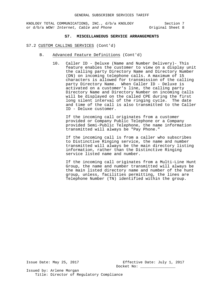KNOLOGY TOTAL COMMUNICATIONS, INC., d/b/a KNOLOGY Section 7<br>3 or d/b/a WOW! Internet, Cable and Phone Section 7 or d/b/a WOW! Internet, Cable and Phone

## **S7. MISCELLANEOUS SERVICE ARRANGEMENTS**

#### S7.2 CUSTOM CALLING SERVICES (Cont'd)

- B. Advanced Feature Definitions (Cont'd)
	- 10. Caller ID Deluxe (Name and Number Delivery)- This feature enables the customer to view on a display unit the calling party Directory Name and Directory Number (DN) on incoming telephone calls. A maximum of 15 characters is allowed for transmission of the calling party Directory Name. When Caller ID - Deluxe is activated on a customer's line, the calling party Directory Name and Directory Number on incoming calls will be displayed on the called CPE during the first long silent interval of the ringing cycle. The date and time of the call is also transmitted to the Caller ID - Deluxe customer.

If the incoming call originates from a customer provided or Company Public Telephone or a Company provided Semi-Public Telephone, the name information transmitted will always be "Pay Phone."

If the incoming call is from a caller who subscribes to Distinctive Ringing service, the name and number transmitted will always be the main directory listing information, rather than the Distinctive Ringing service listed name and number.

If the incoming call originates from a Multi-Line Hunt Group, the name and number transmitted will always be the main listed directory name and number of the hunt group, unless, facilities permitting, the lines are Telephone Number (TN) identified within the group.

Issue Date: May 25, 2017 Effective Date: July 1, 2017 Docket No: \_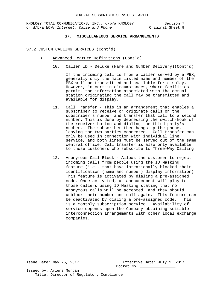KNOLOGY TOTAL COMMUNICATIONS, INC., d/b/a KNOLOGY Section 7<br>or d/b/a WOW! Internet, Cable and Phone 0riginal Sheet 9 or d/b/a WOW! Internet, Cable and Phone

## **S7. MISCELLANEOUS SERVICE ARRANGEMENTS**

#### S7.2 CUSTOM CALLING SERVICES (Cont'd)

- B. Advanced Feature Definitions (Cont'd)
	- 10. Caller ID Deluxe (Name and Number Delivery)(Cont'd)

If the incoming call is from a caller served by a PBX, generally only the main listed name and number of the PBX will be transmitted and available for display. However, in certain circumstances, where facilities permit, the information associated with the actual station originating the call may be transmitted and available for display.

- 11. Call Transfer This is an arrangement that enables a subscriber to receive or originate calls on the subscriber's number and transfer that call to a second number. This is done by depressing the switch-hook of the receiver button and dialing the third party's number. The subscriber then hangs up the phone, leaving the two parties connected. Call transfer can only be used in connection with individual line service, and both lines must be served out of the same central office. Call transfer is also only available to those customers who subscribe to Three-Way Calling.
- 12. Anonymous Call Block Allows the customer to reject incoming calls from people using the ID Masking feature (i.e., that have intentionally blocked their identification (name and number) display information). This feature is activated by dialing a pre-assigned code. Once activated, an announcement will play to those callers using ID Masking stating that no anonymous calls will be accepted, and they should unblock their number and call again. This feature can be deactivated by dialing a pre-assigned code. This is a monthly subscription service. Availability of service depends upon the Company obtaining suitable interconnection arrangements with other local exchange companies.

Issue Date: May 25, 2017 Effective Date: July 1, 2017 Docket No: \_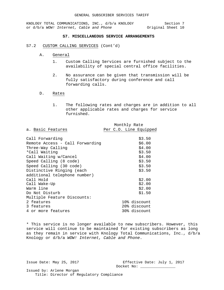KNOLOGY TOTAL COMMUNICATIONS, INC., d/b/a KNOLOGY Section 7<br>or d/b/a WOW! Internet, Cable and Phone 0riginal Sheet 10 or d/b/a WOW! Internet, Cable and Phone

## **S7. MISCELLANEOUS SERVICE ARRANGEMENTS**

## S7.2 CUSTOM CALLING SERVICES (Cont'd)

- A. General
	- 1. Custom Calling Services are furnished subject to the availability of special central office facilities.
	- 2. No assurance can be given that transmission will be fully satisfactory during conference and call forwarding calls.

## D. Rates

1. The following rates and charges are in addition to all other applicable rates and charges for service furnished.

|                                 |  |  | Monthly Rate |                        |
|---------------------------------|--|--|--------------|------------------------|
| a. Basic Features               |  |  |              | Per C.O. Line Equipped |
|                                 |  |  |              |                        |
| Call Forwarding                 |  |  |              | \$3.50                 |
| Remote Access - Call Forwarding |  |  |              | \$6.00                 |
| Three-Way Calling               |  |  |              | \$4.00                 |
| *Call Waiting                   |  |  |              | \$3.50                 |
| Call Waiting w/Cancel           |  |  |              | \$4.00                 |
| Speed Calling (8 code)          |  |  |              | \$3.50                 |
| Speed Calling (30 code)         |  |  |              | \$3.50                 |
| Distinctive Ringing (each       |  |  |              | \$3.50                 |
| additional telephone number)    |  |  |              |                        |
| Call Hold                       |  |  |              | \$2.00                 |
| Call Wake-Up                    |  |  |              | \$2.00                 |
| Warm line                       |  |  |              | \$2.00                 |
| Do Not Disturb                  |  |  |              | \$1.50                 |
| Multiple Feature Discounts:     |  |  |              |                        |
| 2 features                      |  |  |              | 10% discount           |
| 3 features                      |  |  |              | 20% discount           |
| 4 or more features              |  |  |              | 30% discount           |

\* This service is no longer available to new subscribers. However, this service will continue to be maintained for existing subscribers as long as they remain in service with Knology Total Communications, Inc., d/b/a Knology or d/b/a *WOW! Internet, Cable and Phone*.

Issue Date: May 25, 2017 Effective Date: July 1, 2017 Docket No: \_\_\_\_\_\_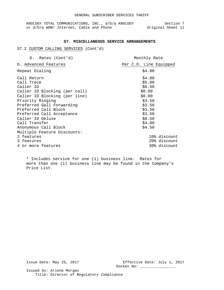#### **S7. MISCELLANEOUS SERVICE ARRANGEMENTS**

# S7.2 CUSTOM CALLING SERVICES (Cont'd)

| D. Rates (Cont'd)                                                                                                                                                                                                                                   | Monthly Rate                                                                                                         |
|-----------------------------------------------------------------------------------------------------------------------------------------------------------------------------------------------------------------------------------------------------|----------------------------------------------------------------------------------------------------------------------|
| b. Advanced Features                                                                                                                                                                                                                                | Per C.O. Line Equipped                                                                                               |
| Repeat Dialing                                                                                                                                                                                                                                      | \$4.00                                                                                                               |
| Call Return<br>Call Trace<br>Caller ID<br>Caller ID Blocking (per call)<br>Caller ID Blocking (per line)<br>Priority Ringing<br>Preferred Gall Forwarding<br>Preferred Call Block<br>Preferred Call Acceptance<br>Caller ID Deluxe<br>Call Transfer | \$4.00<br>\$5.00<br>\$6.50<br>\$0.00<br>\$0.00<br>\$3.50<br>\$3.50<br>\$3.50<br>\$3.50<br>\$8.50<br>\$4.00<br>\$4.50 |
| Anonymous Call Block<br>Multiple Feature Discounts:<br>2 features<br>3 features<br>4 or more features                                                                                                                                               | 10% discount<br>20% discount<br>30% discount                                                                         |

\* Includes service for one (1) business line. Rates for more than one (1) business line may be found in the Company's Price List.

Issue Date: May 25, 2017 Effective Date: July 1, 2017 Docket No: \_\_\_\_\_\_\_\_\_\_\_\_\_\_\_\_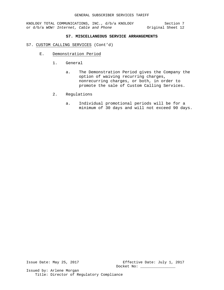# **S7. MISCELLANEOUS SERVICE ARRANGEMENTS**

## S7. CUSTOM CALLING SERVICES (Cont'd)

- E. Demonstration Period
	- 1. General
		- a. The Demonstration Period gives the Company the option of waiving recurring charges, nonrecurring charges, or both, in order to promote the sale of Custom Calling Services.
	- 2. Regulations
		- a. Individual promotional periods will be for a minimum of 30 days and will not exceed 90 days.

Issue Date: May 25, 2017 Effective Date: July 1, 2017 Docket No: \_\_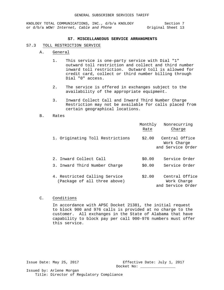#### **S7. MISCELLANEOUS SERVICE ARRANGMENTS**

#### S7.3 TOLL RESTRICTION SERVICE

- A. General
	- 1. This service is one-party service with Dial "1" outward toll restriction and collect and third number inward toll restriction. Outward toll is allowed for credit card, collect or third number billing through Dial "0" access.
	- 2. The service is offered in exchanges subject to the availability of the appropriate equipment.
	- 3. Inward Collect Call and Inward Third Number Charge Restriction may not be available for calls placed from certain geographical locations.
- B. Rates

|                                                               | Monthly<br>Nonrecurring<br>Charge<br>Rate                    |  |
|---------------------------------------------------------------|--------------------------------------------------------------|--|
| 1. Originating Toll Restrictions                              | \$2.00<br>Central Office<br>Work Charge<br>and Service Order |  |
| 2. Inward Collect Call                                        | Service Order<br>\$0.00                                      |  |
| 3. Inward Third Number Charge                                 | Service Order<br>\$0.00                                      |  |
| 4. Restricted Calling Service<br>(Package of all three above) | Central Office<br>\$2.00<br>Work Charge<br>and Service Order |  |

#### C. Conditions

In accordance with APSC Docket 21381, the initial request to block 900 and 976 calls is provided at no charge to the customer. All exchanges in the State of Alabama that have capability to block pay per call 900-976 numbers must offer this service.

Issue Date: May 25, 2017 Effective Date: July 1, 2017 Docket No: \_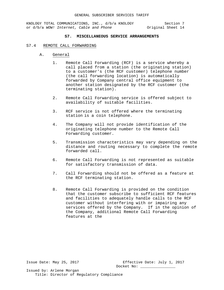## **S7. MISCELLANEOUS SERVICE ARRANGEMENTS**

#### S7.4 REMOTE CALL FORWARDING

- A. General
	- 1. Remote Call Forwarding (RCF) is a service whereby a call placed from a station (the originating station) to a customer's (the RCF customer) telephone number (the call forwarding location) is automatically forwarded by Company central office equipment to another station designated by the RCF customer (the terminating station).
	- 2. Remote Call Forwarding service is offered subject to availability of suitable facilities.
	- 3. RCF service is not offered where the terminating station is a coin telephone.
	- 4. The Company will not provide identification of the originating telephone number to the Remote Call Forwarding customer.
	- 5. Transmission characteristics may vary depending on the distance and routing necessary to complete the remote forwarded call.
	- 6. Remote Call Forwarding is not represented as suitable for satisfactory transmission of data.
	- 7. Call Forwarding should not be offered as a feature at the RCF terminating station.
	- 8. Remote Call Forwarding is provided on the condition that the customer subscribe to sufficient RCF features and facilities to adequately handle calls to the RCF customer without interfering with or impairing any services offered by the Company. If in the opinion of the Company, additional Remote Call Forwarding features at the

Issue Date: May 25, 2017 Effective Date: July 1, 2017 Docket No: \_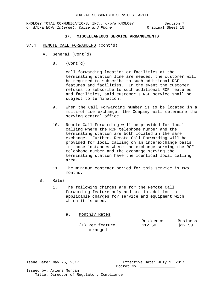KNOLOGY TOTAL COMMUNICATIONS, INC., d/b/a KNOLOGY Section 7<br>or d/b/a WOW! Internet, Cable and Phone 9 0riginal Sheet 15 or d/b/a WOW! Internet, Cable and Phone

## **S7. MISCELLANEOUS SERVICE ARRANGEMENTS**

- S7.4 REMOTE CALL FORWARDING (Cont'd)
	- A. General (Cont'd)
		- 8. (Cont'd)

call forwarding location or facilities at the terminating station line are needed, the customer will be required to subscribe to such additional RCF features and facilities. In the event the customer refuses to subscribe to such additional RCF features and facilities, said customer's RCF service shall be subject to termination.

- 9. When the Call Forwarding number is to be located in a multi-office exchange, the Company will determine the serving central office.
- 10. Remote Call Forwarding will be provided for local calling where the RCF telephone number and the terminating station are both located in the same exchange. Further, Remote Call Forwarding will be provided for local calling on an interexchange basis in those instances where the exchange serving the RCF telephone number and the exchange serving the terminating station have the identical local calling area.
- 11. The minimum contract period for this service is two months.
- B. Rates
	- 1. The following charges are for the Remote Call Forwarding feature only and are in addition to applicable charges for service and equipment with which it is used.

| a. | Monthly Rates      |                      |                     |
|----|--------------------|----------------------|---------------------|
|    | $(1)$ Per feature, | Residence<br>\$12.50 | Business<br>\$12.50 |
|    | arranged:          |                      |                     |

Issue Date: May 25, 2017 Effective Date: July 1, 2017 Docket No: \_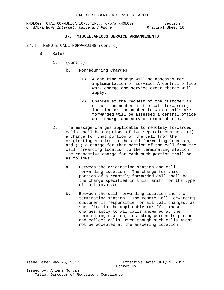## **S7. MISCELLANEOUS SERVICE ARRANGEMENTS**

- S7.4 REMOTE CALL FORWARDING (Cont'd)
	- B. Rates
		- 1. (Cont'd)

## b. Nonrecurring Charges

- (1) A one time charge will be assessed for implementation of service. A central office work charge and service order charge will apply.
- (2) Changes at the request of the customer in either the number at the call forwarding location or the number to which calls are forwarded will be assessed a central office work charge and service order charge.
- 2. The message charges applicable to remotely forwarded calls shall be comprised of two separate charges: (1) a charge for that portion of the call from the originating station to the call forwarding location, and (2) a charge for that portion of the call from the call forwarding location to the terminating station. The respective charge for each such portion shall be as follows:
	- a. Between the originating station and call forwarding location. The charge for this portion of a remotely forwarded call shall be the charge specified in this Tariff for the type of call involved.
	- b. Between the call forwarding location and the terminating station. The Remote Call Forwarding customer is responsible for all toll charges, as specified in the applicable tariff. These charges apply to all calls answered at the terminating station, including person-to-person and collect calls, even though such calls might not be accepted at the answering location.

Issue Date: May 25, 2017 Effective Date: July 1, 2017 Docket No: \_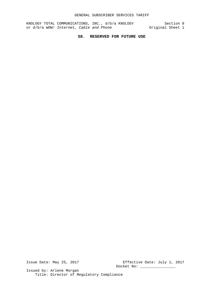# **S8. RESERVED FOR FUTURE USE**

Issue Date: May 25, 2017 Effective Date: July 1, 2017 Docket No: \_\_\_\_\_\_\_\_\_\_\_\_\_\_\_\_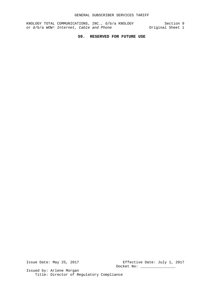# **S9. RESERVED FOR FUTURE USE**

Issue Date: May 25, 2017 Effective Date: July 1, 2017 Docket No: \_\_\_\_\_\_\_\_\_\_\_\_\_\_\_\_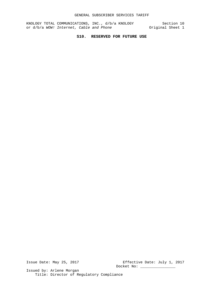# **S10. RESERVED FOR FUTURE USE**

Issue Date: May 25, 2017 Effective Date: July 1, 2017 Docket No: \_\_\_\_\_\_\_\_\_\_\_\_\_\_\_\_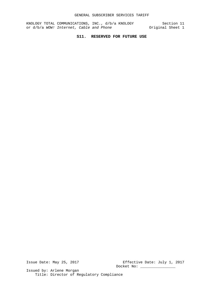# **S11. RESERVED FOR FUTURE USE**

Issue Date: May 25, 2017 Effective Date: July 1, 2017 Docket No: \_\_\_\_\_\_\_\_\_\_\_\_\_\_\_\_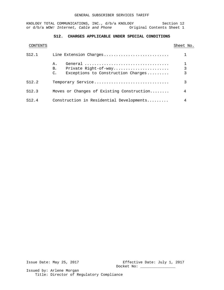## GENERAL SUBSCRIBER SERVICES TARIFF

KNOLOGY TOTAL COMMUNICATIONS, INC., d/b/a KNOLOGY Section 12 or d/b/a WOW! Internet, Cable and Phone **Original Contents Sheet 1** 

# **S12. CHARGES APPLICABLE UNDER SPECIAL CONDITIONS**

|       |                                                                              | Sheet No. |
|-------|------------------------------------------------------------------------------|-----------|
| S12.1 | Line Extension Charges                                                       |           |
|       | Α.<br>Private Right-of-way<br>В.<br>Exceptions to Construction Charges<br>C. | 3<br>3    |
| S12.2 | Temporary Service                                                            | 3         |
| S12.3 | Moves or Changes of Existing Construction                                    | 4         |
| S12.4 | Construction in Residential Developments                                     | 4         |

Issue Date: May 25, 2017 Effective Date: July 1, 2017 Docket No: \_\_\_\_\_\_\_\_\_\_\_\_\_\_\_\_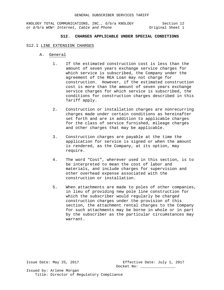KNOLOGY TOTAL COMMUNICATIONS, INC., d/b/a KNOLOGY Section 12<br>or d/b/a WOW! Internet, Cable and Phone (1) Original Sheet 1 or d/b/a WOW! Internet, Cable and Phone

# **S12. CHARGES APPLICABLE UNDER SPECIAL CONDITIONS**

#### S12.1 LINE EXTENSION CHARGES

- A. General
	- 1. If the estimated construction cost is less than the amount of seven years exchange service charges for which service is subscribed, the Company under the agreement of the REA Loan may not charge for construction. However, if the estimated construction cost is more than the amount of seven years exchange service charges for which service is subscribed, the conditions for construction charges described in this Tariff apply.
	- 2. Construction or installation charges are nonrecurring charges made under certain conditions as hereinafter set forth and are in addition to applicable charges for the class of service furnished, mileage charges and other charges that may be applicable.
	- 3. Construction charges are payable at the time the application for service is signed or when the amount is rendered, as the Company, at its option, may require.
	- 4. The word "Cost", wherever used in this section, is to be interpreted to mean the cost of labor and materials, and include charges for supervision and other overhead expense associated with the construction or installation.
	- 5. When attachments are made to poles of other companies, in lieu of providing new pole line construction for which the subscriber would regularly be charged construction charges under the provision of this section, the attachment rental charges to the Company for such attachments may be borne in whole or in part by the subscriber as the particular circumstances may warrant.

Issue Date: May 25, 2017 Effective Date: July 1, 2017 Docket No: \_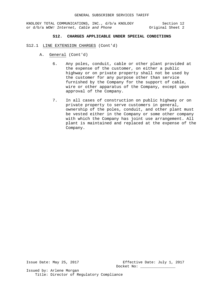# **S12. CHARGES APPLICABLE UNDER SPECIAL CONDITIONS**

- S12.1 LINE EXTENSION CHARGES (Cont'd)
	- A. General (Cont'd)
		- 6. Any poles, conduit, cable or other plant provided at the expense of the customer, on either a public highway or on private property shall not be used by the customer for any purpose other than service furnished by the Company for the support of cable, wire or other apparatus of the Company, except upon approval of the Company.
		- 7. In all cases of construction on public highway or on private property to serve customers in general, ownership of the poles, conduit, and other plant must be vested either in the Company or some other company with which the Company has joint use arrangement. All plant is maintained and replaced at the expense of the Company.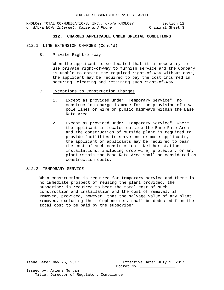KNOLOGY TOTAL COMMUNICATIONS, INC., d/b/a KNOLOGY Section 12<br>
or d/b/a WOW! Internet, Cable and Phone (1999) Original Sheet 3 or d/b/a WOW! Internet, Cable and Phone

# **S12. CHARGES APPLICABLE UNDER SPECIAL CONDITIONS**

- S12.1 LINE EXTENSION CHARGES (Cont'd)
	- B. Private Right-of-way

When the applicant is so located that it is necessary to use private right-of-way to furnish service and the Company is unable to obtain the required right-of-way without cost, the applicant may be required to pay the cost incurred in securing, clearing and retaining such right-of-way.

- C. Exceptions to Construction Charges
	- 1. Except as provided under "Temporary Service", no construction charge is made for the provision of new pole lines or wire on public highways within the Base Rate Area.
	- 2. Except as provided under "Temporary Service", where the applicant is located outside the Base Rate Area and the construction of outside plant is required to provide facilities to serve one or more applicants, the applicant or applicants may be required to bear the cost of such construction. Neither station installations, including drop wire, protector, or any plant within the Base Rate Area shall be considered as construction costs.

## S12.2 TEMPORARY SERVICE

When construction is required for temporary service and there is no immediate prospect of reusing the plant provided, the subscriber is required to bear the total cost of such construction and installation and the cost of removal, if removed, provided, however, that the salvage value of any plant removed, excluding the telephone set, shall be deducted from the total cost to be paid by the subscriber.

Issue Date: May 25, 2017 Effective Date: July 1, 2017 Docket No: \_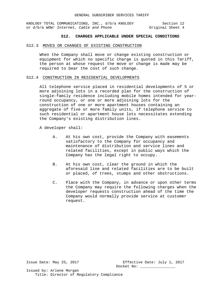# **S12. CHARGES APPLICABLE UNDER SPECIAL CONDITIONS**

#### S12.3 MOVES OR CHANGES OF EXISTING CONSTRUCTION

When the Company shall move or change existing construction or equipment for which no specific charge is quoted in this Tariff, the person at whose request the move or change is made may be required to bear the cost of such change.

## S12.4 CONSTRUCTION IN RESIDENTIAL DEVELOPMENTS

All telephone service placed in residential developments of 5 or more adjoining lots in a recorded plan for the construction of single-family residence including mobile homes intended for yearround occupancy, or one or more adjoining lots for the construction of one or more apartment houses containing an aggregate of five or more family units, if telephone service to such residential or apartment house lots necessitates extending the Company's existing distribution lines.

A developer shall:

- A. At his own cost, provide the Company with easements satisfactory to the Company for occupancy and maintenance of distribution and service lines and related facilities, except in public ways which the Company has the legal right to occupy.
- B. At his own cost, clear the ground in which the aforesaid line and related facilities are to be built or placed, of trees, stumps and other obstructions.
- C. Place with the Company, in advance or upon other terms the Company may require the following charges when the developer requests construction ahead of the time the Company would normally provide service at customer request.

Issue Date: May 25, 2017 Effective Date: July 1, 2017 Docket No: \_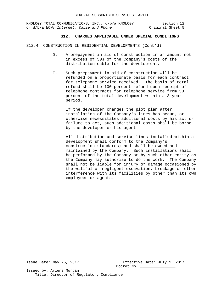# **S12. CHARGES APPLICABLE UNDER SPECIAL CONDITIONS**

- S12.4 CONSTRUCTION IN RESIDENTIAL DEVELOPMENTS (Cont'd)
	- D. A prepayment in aid of construction in an amount not in excess of 50% of the Company's costs of the distribution cable for the development.
	- E. Such prepayment in aid of construction will be refunded on a proportionate basis for each contract for telephone service received. The basis of total refund shall be 100 percent refund upon receipt of telephone contracts for telephone service from 50 percent of the total development within a 3 year period.

If the developer changes the plot plan after installation of the Company's lines has begun, or otherwise necessitates additional costs by his act or failure to act, such additional costs shall be borne by the developer or his agent.

All distribution and service lines installed within a development shall conform to the Company's construction standards; and shall be owned and maintained by the Company. Such installations shall be performed by the Company or by such other entity as the Company may authorize to do the work. The Company shall not be liable for injury or damage occasioned by the willful or negligent excavation, breakage or other interference with its facilities by other than its own employees or agents.

Issue Date: May 25, 2017 Effective Date: July 1, 2017 Docket No: \_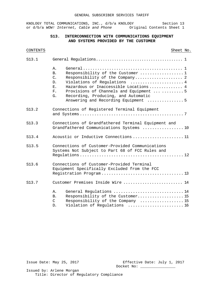# **S13. INTERCONNECTION WITH COMMUNICATIONS EQUIPMENT AND SYSTEMS PROVIDED BY THE CUSTOMER**

| S13.1 |                                                                                                                                                                                                                                                                                                                                                       |  |  |
|-------|-------------------------------------------------------------------------------------------------------------------------------------------------------------------------------------------------------------------------------------------------------------------------------------------------------------------------------------------------------|--|--|
|       | $A$ .<br>Responsibility of the Customer 1<br>B <sub>1</sub><br>$C_{\bullet}$<br>Responsibility of the Company 2<br>Violations of Regulations  4<br>D.<br>Hazardous or Inaccessible Locations  4<br>E.<br>Provisions of Channels and Equipment   5<br>$F_{\star}$<br>Recording, Producing, and Automatic<br>G.<br>Answering and Recording Equipment  5 |  |  |
| S13.2 | Connections of Registered Terminal Equipment                                                                                                                                                                                                                                                                                                          |  |  |
| S13.3 | Connections of Grandfathered Terminal Equipment and<br>Grandfathered Communications Systems  10                                                                                                                                                                                                                                                       |  |  |
| S13.4 | Acoustic or Inductive Connections  11                                                                                                                                                                                                                                                                                                                 |  |  |
| S13.5 | Connections of Customer-Provided Communications<br>Systems Not Subject to Part 68 of FCC Rules and                                                                                                                                                                                                                                                    |  |  |
| S13.6 | Connections of Customer-Provided Terminal<br>Equipment Specifically Excluded from the FCC                                                                                                                                                                                                                                                             |  |  |
| S13.7 | Customer Premises Inside Wire  14                                                                                                                                                                                                                                                                                                                     |  |  |
|       | General Regulations  14<br>Α.<br>Responsibility of the Customer 15<br><b>B.</b><br>$\mathcal{C}$<br>Responsibility of the Company  15<br>Violation of Regulations  16<br>D.                                                                                                                                                                           |  |  |

Issue Date: May 25, 2017 Effective Date: July 1, 2017 Docket No: \_\_\_\_\_\_\_\_\_\_\_\_\_\_\_\_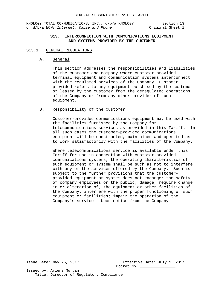KNOLOGY TOTAL COMMUNICATIONS, INC., d/b/a KNOLOGY Section 13<br>or d/b/a WOW! Internet, Cable and Phone 0riginal Sheet 1 or d/b/a WOW! Internet, Cable and Phone

# **S13. INTERCONNECTION WITH COMMUNICATIONS EQUIPMENT AND SYSTEMS PROVIDED BY THE CUSTOMER**

## S13.1 GENERAL REGULATIONS

A. General

This section addresses the responsibilities and liabilities of the customer and company where customer provided terminal equipment and communication systems interconnect with the regulated services of the Company. Customer provided refers to any equipment purchased by the customer or leased by the customer from the deregulated operations of the Company or from any other provider of such equipment.

B. Responsibility of the Customer

Customer-provided communications equipment may be used with the facilities furnished by the Company for telecommunications services as provided in this Tariff. In all such cases the customer-provided communications equipment will be constructed, maintained and operated as to work satisfactorily with the facilities of the Company.

Where telecommunications service is available under this Tariff for use in connection with customer-provided communications systems, the operating characteristics of such equipment or system shall be such as not to interfere with any of the services offered by the Company. Such is subject to the further provisions that the customerprovided equipment or system does not endanger the safety of company employees or the public; damage, require change in or alteration of, the equipment or other facilities of the Company; interfere with the proper functioning of such equipment or facilities; impair the operation of the Company's service. Upon notice from the Company

Issue Date: May 25, 2017 Effective Date: July 1, 2017 Docket No: \_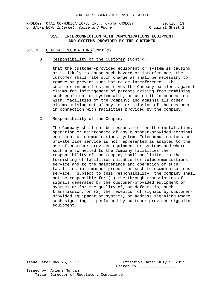KNOLOGY TOTAL COMMUNICATIONS, INC., d/b/a KNOLOGY Section 13<br>or d/b/a WOW! Internet, Cable and Phone 0riginal Sheet 2 or d/b/a WOW! Internet, Cable and Phone

# **S13. INTERCONNECTION WITH COMMUNICATIONS EQUIPMENT AND SYSTEMS PROVIDED BY THE CUSTOMER**

#### S13.1 GENERAL REGULATIONS(Cont'd)

B. Responsibility of the Customer (Cont'd)

that the customer-provided equipment or system is causing or is likely to cause such hazard or interference, the customer shall make such change as shall be necessary to remove or prevent such hazard or interference. The customer indemnifies and saves the Company harmless against claims for infringement of patents arising from combining such equipment or system with, or using it in connection with, facilities of the Company; and against all other claims arising out of any act or omission of the customer in connection with facilities provided by the Company.

C. Responsibility of the Company

The Company shall not be responsible for the installation, operation or maintenance of any customer-provided terminal equipment or communications system. Telecommunications or private line service is not represented as adapted to the use of customer-provided equipment or systems and where such are connected to the Company facilities the responsibility of the Company shall be limited to the furnishing of facilities suitable for telecommunications service and to the maintenance and operation of such facilities in a manner proper for such telecommunications service. Subject to this responsibility, the Company shall not be responsible for (1) the through transmission of signals generated by the customer-provided equipment or systems or for the quality of, or defects in, such transmission, or (2) the reception of signals by customerprovided equipment or systems, or address signaling where such signaling is performed by customer-provided signaling equipment.

Issue Date: May 25, 2017 Effective Date: July 1, 2017 Docket No: \_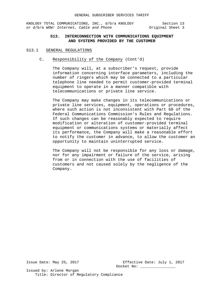KNOLOGY TOTAL COMMUNICATIONS, INC., d/b/a KNOLOGY Section 13<br>or d/b/a WOW! Internet, Cable and Phone (1997) Original Sheet 3 or d/b/a WOW! Internet, Cable and Phone

# **S13. INTERCONNECTION WITH COMMUNICATIONS EQUIPMENT AND SYSTEMS PROVIDED BY THE CUSTOMER**

## S13.1 GENERAL REGULATIONS

C. Responsibility of the Company (Cont'd)

The Company will, at a subscriber's request, provide information concerning interface parameters, including the number of ringers which may be connected to a particular telephone line needed to permit customer-provided terminal equipment to operate in a manner compatible with telecommunications or private line service.

The Company may make changes in its telecommunications or private line services, equipment, operations or procedures, where such action is not inconsistent with Part 68 of the Federal Communications Commission's Rules and Regulations. If such changes can be reasonably expected to require modification or alteration of customer-provided terminal equipment or communications systems or materially affect its performance, the Company will make a reasonable effort to notify the customer in advance, to allow the customer an opportunity to maintain uninterrupted service.

The Company will not be responsible for any loss or damage, nor for any impairment or failure of the service, arising from or in connection with the use of facilities of customers and not caused solely by the negligence of the Company.

Issue Date: May 25, 2017 Effective Date: July 1, 2017 Docket No: \_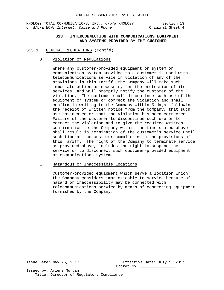KNOLOGY TOTAL COMMUNICATIONS, INC., d/b/a KNOLOGY Section 13<br>or d/b/a WOW! Internet, Cable and Phone (1997) Original Sheet 4 or d/b/a WOW! Internet, Cable and Phone

# **S13. INTERCONNECTION WITH COMMUNICATIONS EQUIPMENT AND SYSTEMS PROVIDED BY THE CUSTOMER**

## S13.1 GENERAL REGULATIONS (Cont'd)

D. Violation of Regulations

Where any customer-provided equipment or system or communication system provided to a customer is used with telecommunications service in violation of any of the provisions in this Tariff, the Company will take such immediate action as necessary for the protection of its services, and will promptly notify the customer of the violation. The customer shall discontinue such use of the equipment or system or correct the violation and shall confirm in writing to the Company within 5 days, following the receipt of written notice from the Company, that such use has ceased or that the violation has been corrected Failure of the customer to discontinue such use or to correct the violation and to give the required written confirmation to the Company within the time stated above shall result in termination of the customer's service until such time as the customer complies with the provisions of this Tariff. The right of the Company to terminate service as provided above, includes the right to suspend the service or to disconnect such customer-provided equipment or communications system.

#### E. Hazardous or Inaccessible Locations

Customer-provided equipment which serve a location which the Company considers impracticable to service because of hazard or inaccessibility may be connected with telecommunications service by means of connecting equipment furnished by the Company.

Issue Date: May 25, 2017 Effective Date: July 1, 2017 Docket No: \_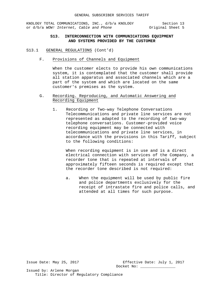# **S13. INTERCONNECTION WITH COMMUNICATIONS EQUIPMENT AND SYSTEMS PROVIDED BY THE CUSTOMER**

- S13.1 GENERAL REGULATIONS (Cont'd)
	- F. Provisions of Channels and Equipment

When the customer elects to provide his own communications system, it is contemplated that the customer shall provide all station apparatus and associated channels which are a part of the system and which are located on the same customer's premises as the system.

- G. Recording. Reproducing, and Automatic Answering and Recording Equipment
	- 1. Recording or Two-way Telephone Conversations Telecommunications and private line services are not represented as adapted to the recording of two-way telephone conversations. Customer-provided voice recording equipment may be connected with telecommunications and private line services, in accordance with the provisions in this Tariff, subject to the following conditions:

When recording equipment is in use and is a direct electrical connection with services of the Company, a recorder tone that is repeated at intervals of approximately fifteen seconds is required except that the recorder tone described is not required:

a. When the equipment will be used by public fire and police departments exclusively for the receipt of intrastate fire and police calls, and attended at all times for such purpose.

Issue Date: May 25, 2017 Effective Date: July 1, 2017 Docket No: \_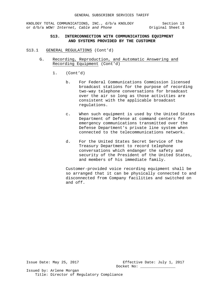KNOLOGY TOTAL COMMUNICATIONS, INC., d/b/a KNOLOGY Section 13<br>or d/b/a WOW! Internet, Cable and Phone (1997) Original Sheet 6 or d/b/a WOW! Internet, Cable and Phone

# **S13. INTERCONNECTION WITH COMMUNICATIONS EQUIPMENT AND SYSTEMS PROVIDED BY THE CUSTOMER**

- S13.1 GENERAL REGULATIONS (Cont'd)
	- G. Recording, Reproduction, and Automatic Answering and Recording Equipment (Cont'd)
		- 1. (Cont'd)
			- b. For Federal Communications Commission licensed broadcast stations for the purpose of recording two-way telephone conversations for broadcast over the air so long as those activities are consistent with the applicable broadcast regulations.
			- c. When such equipment is used by the United States Department of Defense at command centers for emergency communications transmitted over the Defense Department's private line system when connected to the telecommunications network.
			- d. For the United States Secret Service of the Treasury Department to record telephone conversations which endanger the safety and security of the President of the United States, and members of his immediate family.

Customer-provided voice recording equipment shall be so arranged that it can be physically connected to and disconnected from Company facilities and switched on and off.

Issue Date: May 25, 2017 Effective Date: July 1, 2017 Docket No: \_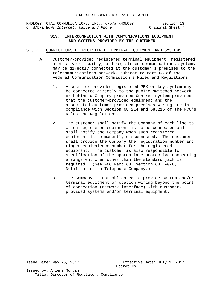KNOLOGY TOTAL COMMUNICATIONS, INC., d/b/a KNOLOGY Section 13<br>or d/b/a WOW! Internet, Cable and Phone (1999) Original Sheet 7 or d/b/a WOW! Internet, Cable and Phone

# **S13. INTERCONNECTION WITH COMMUNICATIONS EQUIPMENT AND SYSTEMS PROVIDED BY THE CUSTOMER**

- S13.2 CONNECTIONS OF REGISTERED TERMINAL EQUIPMENT AND SYSTEMS
	- A. Customer-provided registered terminal equipment, registered protective circuitry, and registered communications systems may be directly connected at the customer's premises to the telecommunications network, subject to Part 68 of the Federal Communication Commission's Rules and Regulations:
		- 1. A customer-provided registered PBX or key system may be connected directly to the public switched network or behind a Company-provided Centrex system provided that the customer-provided equipment and the associated customer-provided premises wiring are in compliance with Section 68.214 and 68.215 of the FCC's Rules and Regulations.
		- 2. The customer shall notify the Company of each line to which registered equipment is to be connected and shall notify the Company when such registered equipment is permanently disconnected. The customer shall provide the Company the registration number and ringer equivalence number for the registered equipment. The customer is also responsible for specification of the appropriate protective connecting arrangement when other than the standard jack is required. (See FCC Part 68, Section 68.1-0-6, Notification to Telephone Company.)
		- 3. The Company is not obligated to provide system and/or terminal equipment or station wiring beyond the point of connection (network interface) with customerprovided systems and/or terminal equipment.

Issue Date: May 25, 2017 Effective Date: July 1, 2017 Docket No: \_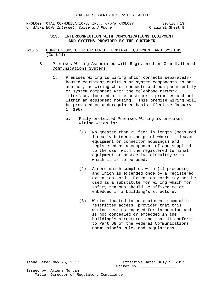KNOLOGY TOTAL COMMUNICATIONS, INC., d/b/a KNOLOGY Section 13<br>or d/b/a WOW! Internet, Cable and Phone (1997) Original Sheet 8 or d/b/a WOW! Internet, Cable and Phone

# **S13. INTERCONNECTION WITH COMMUNICATIONS EQUIPMENT AND SYSTEMS PROVIDED BY THE CUSTOMER**

- S13.2 CONNECTIONS OF REGISTERED TERMINAL EQUIPMENT AND SYSTEMS (Cont'd)
	- B. Premises Wiring Associated with Registered or Grandfathered Communications Systems
		- 1. Premises Wiring is wiring which connects separatelyhoused equipment entities or system components to one another, or wiring which connects and equipment entity or system component With the telephone network interface, located at the customer's premises and not within an equipment housing. This premise wiring will be provided on a deregulated basis effective January 1, 1987.
			- a. Fully-protected Premises Wiring is premises wiring which is:
				- (1) No greater than 25 feet in length (measured linearly between the point where it leaves equipment or connector housings) and registered as a component of and supplied to the user with the registered terminal equipment or protective circuitry with which it is to be used.
				- (2) A cord which complies with (1) preceding and which is extended once by a registered extension cord. Extension cords may not be used as a substitute for wiring which for safety reasons should be affixed to or embedded in a building's structure.
				- (3) Wiring located in an equipment room with restricted access, provided that this wiring remains exposed for inspection and is not concealed or embedded in the building's structure, and that it conforms to Part 68 of the Federal Communications Commission's Rules and Regulations.

Issue Date: May 25, 2017 Effective Date: July 1, 2017 Docket No: \_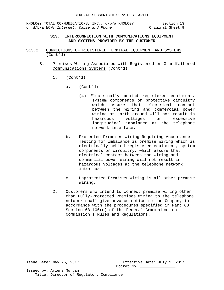# **S13. INTERCONNECTION WITH COMMUNICATIONS EQUIPMENT AND SYSTEMS PROVIDED BY THE CUSTOMER**

- S13.2 CONNECTIONS OF REGISTERED TERMINAL EQUIPMENT AND SYSTEMS (Cont'd)
	- B. Premises Wiring Associated with Registered or Grandfathered Communications Systems (Cont'd)
		- 1. (Cont'd)
			- a. (Cont'd)
				- (4) Electrically behind registered equipment, system components or protective circuitry which assure that electrical contact between the wiring and commercial power wiring or earth ground will not result in hazardous voltages or excessive longitudinal imbalance at the telephone network interface.
			- b. Protected Premises Wiring Requiring Acceptance Testing for Imbalance is premise wiring which is electrically behind registered equipment, system components or circuitry, which assure that electrical contact between the wiring and commercial power wiring will not result in hazardous voltages at the telephone network interface.
			- c. Unprotected Premises Wiring is all other premise wiring.
		- 2. Customers who intend to connect premise wiring other than Fully-Protected Premises Wiring to the telephone network shall give advance notice to the Company in accordance with the procedures specified in Part 68, Section 68.106(c) of the Federal Communication Commission's Rules and Regulations.

Issue Date: May 25, 2017 Effective Date: July 1, 2017 Docket No: \_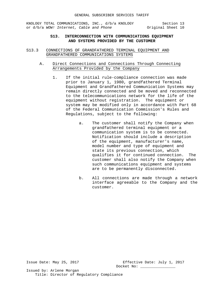# **S13. INTERCONNECTION WITH COMMUNICATIONS EQUIPMENT AND SYSTEMS PROVIDED BY THE CUSTOMER**

- S13.3 CONNECTIONS OF GRANDFATHERED TERMINAL EQUIPMENT AND GRANDFATHERED COMMUNICATIONS SYSTEMS
	- A. Direct Connections and Connections Through Connecting Arrangements Provided by the Company
		- 1. If the initial rule-compliance connection was made prior to January 1, 1980, grandfathered Terminal Equipment and Grandfathered Communication Systems may remain directly connected and be moved and reconnected to the telecommunications network for the life of the equipment without registration. The equipment or system may be modified only in accordance with Part 68 of the Federal Communication Commission's Rules and Regulations, subject to the following:
			- a. The customer shall notify the Company when grandfathered terminal equipment or a communication system is to be connected. Notification should include a description of the equipment, manufacturer's name, model number and type of equipment and state its previous connection, which qualifies it for continued connection. The customer shall also notify the Company when such communications equipment and systems are to be permanently disconnected.
			- b. All connections are made through a network interface agreeable to the Company and the customer.

Issue Date: May 25, 2017 Effective Date: July 1, 2017 Docket No: \_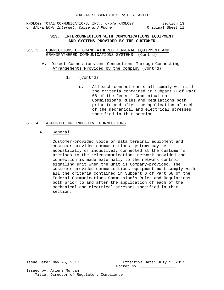KNOLOGY TOTAL COMMUNICATIONS, INC., d/b/a KNOLOGY Section 13<br>or d/b/a WOW! Internet, Cable and Phone or d/b/a Worly Sheet 11 or d/b/a WOW! Internet, Cable and Phone

# **S13. INTERCONNECTION WITH COMMUNICATIONS EQUIPMENT AND SYSTEMS PROVIDED BY THE CUSTOMER**

- S13.3 CONNECTIONS OF GRANDFATHERED TERMINAL EQUIPMENT AND GRANDFATHERED COMMUNICATIONS SYSTEMS (Cont'd)
	- A. Direct Connections and Connections Through Connecting Arrangements Provided by the Company (Cont'd)
		- 1. (Cont'd)
			- c. All such connections shall comply with all the criteria contained in Subpart D of Part 68 of the Federal Communication Commission's Rules and Regulations both prior to and after the application of each of the mechanical and electrical stresses specified in that section.

# S13.4 ACOUSTIC OR INDUCTIVE CONNECTIONS

A. General

Customer-provided voice or data terminal equipment and customer-provided communications systems may be acoustically or inductively connected at the customer's premises to the telecommunications network provided the connection is made externally to the network control signaling unit when the unit is Company-provided. The customer-provided communications equipment must comply with all the criteria contained in Subpart D of Part 68 of the Federal Communications Commission's Rules and Regulations both prior to and after the application of each of the mechanical and electrical stresses specified in that section.

Issue Date: May 25, 2017 Effective Date: July 1, 2017 Docket No: \_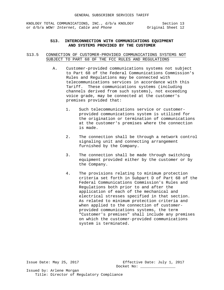# **S13. INTERCONNECTION WITH COMMUNICATIONS EQUIPMENT AND SYSTEMS PROVIDED BY THE CUSTOMER**

# S13.5 CONNECTION OF CUSTOMER-PROVIDED COMMUNICATIONS SYSTEMS NOT SUBJECT TO PART 68 OF THE FCC RULES AND REGULATIONS

- A. Customer-provided communications systems not subject to Part 68 of the Federal Communications Commission's Rules and Regulations may be connected with telecommunications services in accordance with this Tariff. These communications systems (including channels derived from such systems), not exceeding voice grade, may be connected at the customer's premises provided that:
	- 1. Such telecommunications service or customerprovided communications system is utilized for the origination or termination of communications at the customer's premises where the connection is made.
	- 2. The connection shall be through a network control signaling unit and connecting arrangement furnished by the Company.
	- 3. The connection shall be made through switching equipment provided either by the customer or by the Company.
	- 4. The provisions relating to minimum protection criteria set forth in Subpart D of Part 68 of the Federal Communications Commission's Rules and Regulations both prior to and after the application of each of the mechanical and electrical stresses specified in that section. As related to minimum protection criteria and when applied to the connection of customerprovided communications systems, the term "Customer's premises" shall include any premises on which the customer-provided communications system is terminated.

Issue Date: May 25, 2017 Effective Date: July 1, 2017 Docket No: \_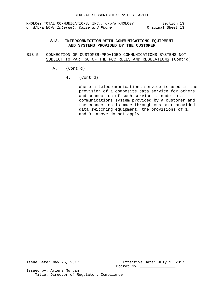# **S13. INTERCONNECTION WITH COMMUNICATIONS EQUIPMENT AND SYSTEMS PROVIDED BY THE CUSTOMER**

- S13.5 CONNECTION OF CUSTOMER-PROVIDED COMMUNICATIONS SYSTEMS NOT SUBJECT TO PART 68 OF THE FCC RULES AND REGULATIONS (Cont'd)
	- A. (Cont'd)
		- 4. (Cont'd)

Where a telecommunications service is used in the provision of a composite data service for others and connection of such service is made to a communications system provided by a customer and the connection is made through customer-provided data switching equipment, the provisions of 1. and 3. above do not apply.

Issue Date: May 25, 2017 Effective Date: July 1, 2017 Docket No: \_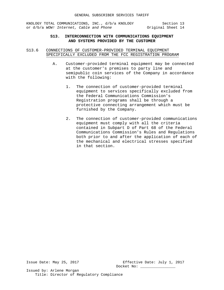# **S13. INTERCONNECTION WITH COMMUNICATIONS EQUIPMENT AND SYSTEMS PROVIDED BY THE CUSTOMER**

S13.6 CONNECTIONS OF CUSTOMER-PROVIDED TERMINAL EQUIPMENT SPECIFICALLY EXCLUDED FROM THE FCC REGISTRATION PROGRAM

- A. Customer-provided terminal equipment may be connected at the customer's premises to party line and semipublic coin services of the Company in accordance with the following:
	- 1. The connection of customer-provided terminal equipment to services specifically excluded from the Federal Communications Commission's Registration programs shall be through a protective connecting arrangement which must be furnished by the Company.
	- 2. The connection of customer-provided communications equipment must comply with all the criteria contained in Subpart D of Part 68 of the Federal Communications Commission's Rules and Regulations both prior to and after the application of each of the mechanical and electrical stresses specified in that section.

Issue Date: May 25, 2017 Effective Date: July 1, 2017 Docket No: \_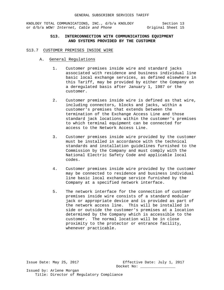# **S13. INTERCONNECTION WITH COMMUNICATIONS EQUIPMENT AND SYSTEMS PROVIDED BY THE CUSTOMER**

- S13.7 CUSTOMER PREMISES INSIDE WIRE
	- A. General Regulations
		- 1. Customer premises inside wire and standard jacks associated with residence and business individual line basic local exchange services, as defined elsewhere in this Tariff, may be provided by either the Company on a deregulated basis after January 1, 1987 or the customer.
		- 2. Customer premises inside wire is defined as that wire, including connectors, blocks and jacks, within a customer's premises that extends between the termination of the Exchange Access Line and those standard jack locations within the customer's premises to which terminal equipment can be connected for access to the Network Access Line.
		- 3. Customer premises inside wire provided by the customer must be installed in accordance with the technical standards and installation guidelines furnished to the Commission by the Company and must comply with the National Electric Safety Code and applicable local codes.
		- 4. Customer premises inside wire provided by the customer may be connected to residence and business individual line basic local exchange service furnished by the Company at a specified network interface.
		- 5. The network interface for the connection of customer premises inside wire consists of a standard modular jack or appropriate device and is provided as part of the network access line. This will be installed in side or outside the customer's premises at a location determined by the Company which is accessible to the customer. The normal location will be in close proximity to the protector or entrance facility, whenever practicable.

Issue Date: May 25, 2017 Effective Date: July 1, 2017 Docket No: \_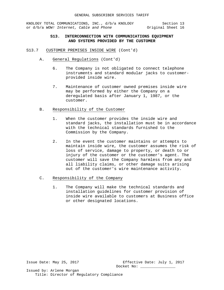# **S13. INTERCONNECTION WITH COMMUNICATIONS EQUIPMENT AND SYSTEMS PROVIDED BY THE CUSTOMER**

- S13.7 CUSTOMER PREMISES INSIDE WIRE (Cont'd)
	- A. General Regulations (Cont'd)
		- 6. The Company is not obligated to connect telephone instruments and standard modular jacks to customerprovided inside wire.
		- 7. Maintenance of customer owned premises inside wire may be performed by either the Company on a deregulated basis after January 1, 1987, or the customer.
	- B. Responsibility of the Customer
		- 1. When the customer provides the inside wire and standard jacks, the installation must be in accordance with the technical standards furnished to the Commission by the Company.
		- 2. In the event the customer maintains or attempts to maintain inside wire, the customer assumes the risk of loss of service, damage to property, or death to or injury of the customer or the customer's agent. The customer will save the Company harmless from any and all liability claims, or other damage suits arising out of the customer's wire maintenance activity.
	- C. Responsibility of the Company
		- 1. The Company will make the technical standards and installation guidelines for customer provision of inside wire available to customers at Business office or other designated locations.

Issue Date: May 25, 2017 Effective Date: July 1, 2017 Docket No: \_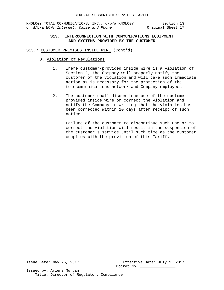# **S13. INTERCONNECTION WITH COMMUNICATIONS EQUIPMENT AND SYSTEMS PROVIDED BY THE CUSTOMER**

- S13.7 CUSTOMER PREMISES INSIDE WIRE (Cont'd)
	- D. Violation of Regulations
		- 1. Where customer-provided inside wire is a violation of Section 2, the Company will properly notify the customer of the violation and will take such immediate action as is necessary for the protection of the telecommunications network and Company employees.
		- 2. The customer shall discontinue use of the customerprovided inside wire or correct the violation and notify the Company in writing that the violation has been corrected within 20 days after receipt of such notice.

Failure of the customer to discontinue such use or to correct the violation will result in the suspension of the customer's service until such time as the customer complies with the provision of this Tariff.

Issue Date: May 25, 2017 Effective Date: July 1, 2017 Docket No: \_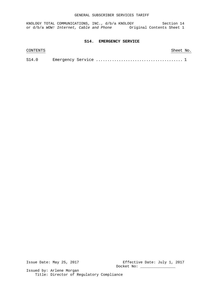## GENERAL SUBSCRIBER SERVICES TARIFF

KNOLOGY TOTAL COMMUNICATIONS, INC., d/b/a KNOLOGY Section 14 or d/b/a WOW! Internet, Cable and Phone **Original Contents Sheet 1** 

## **S14. EMERGENCY SERVICE**

| CONTENTS |  |  |  |  |  |  | Sheet No. |  |
|----------|--|--|--|--|--|--|-----------|--|
| S14.0    |  |  |  |  |  |  |           |  |

Issue Date: May 25, 2017 Effective Date: July 1, 2017 Docket No: \_\_\_\_\_\_\_\_\_\_\_\_\_\_\_\_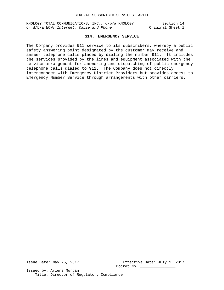# **S14. EMERGENCY SERVICE**

The Company provides 911 service to its subscribers, whereby a public safety answering point designated by the customer may receive and answer telephone calls placed by dialing the number 911. It includes the services provided by the lines and equipment associated with the service arrangement for answering and dispatching of public emergency telephone calls dialed to 911. The Company does not directly interconnect with Emergency District Providers but provides access to Emergency Number Service through arrangements with other carriers.

Issue Date: May 25, 2017 Effective Date: July 1, 2017 Docket No: \_\_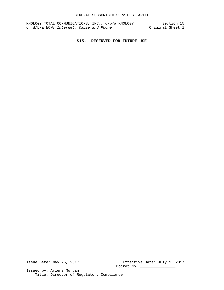# **S15. RESERVED FOR FUTURE USE**

Issue Date: May 25, 2017 Effective Date: July 1, 2017 Docket No: \_\_\_\_\_\_\_\_\_\_\_\_\_\_\_\_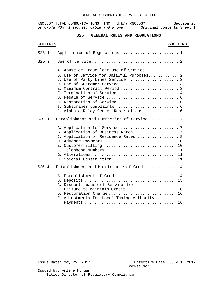# **S25. GENERAL RULES AND REGULATIONS**

| <b>CONTENTS</b> |                                                                                                                                                                                                                                      | Sheet No. |
|-----------------|--------------------------------------------------------------------------------------------------------------------------------------------------------------------------------------------------------------------------------------|-----------|
| S25.1           | Application of Regulations  1                                                                                                                                                                                                        |           |
| S25.2           |                                                                                                                                                                                                                                      |           |
|                 | A. Abuse or Fraudulent Use of Service 2<br>B. Use of Service for Unlawful Purposes 2<br>C. Use of Party Lines Service  3<br>E. Minimum Contract Period  3<br>F. Termination of Service  4<br>J. Alabama Relay Center Restrictions  6 |           |
| S25.3           | Establishment and Furnishing of Service 7                                                                                                                                                                                            |           |
|                 | B. Application of Business Rates  7<br>C. Application of Residence Rates  8<br>D. Advance Payments  10<br>E. Customer Billing  10<br>F. Telephone Numbers  11<br>H. Special Construction  11                                         |           |
| S25.4           | Establishment and Maintenance of Credit14                                                                                                                                                                                            |           |
|                 | A. Establishment of Credit  14<br>C. Discontinuance of Service for                                                                                                                                                                   |           |
|                 | Failure to Maintain Credit 16<br>D. Restoration Charge  16<br>E. Adjustments for Local Taxing Authority                                                                                                                              |           |
|                 |                                                                                                                                                                                                                                      |           |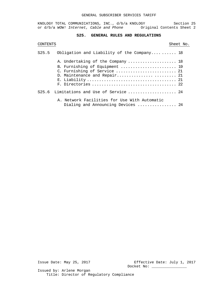# **S25. GENERAL RULES AND REGULATIONS**

# CONTENTS Sheet No.

| S25.5 | Obligation and Liability of the Company 18                                         |  |
|-------|------------------------------------------------------------------------------------|--|
|       | A. Undertaking of the Company  18                                                  |  |
|       | B. Furnishing of Equipment  19                                                     |  |
|       | C. Furnishing of Service  21                                                       |  |
|       | D. Maintenance and Repair 21                                                       |  |
|       |                                                                                    |  |
|       | F. Directories  22                                                                 |  |
| S25.6 | Limitations and Use of Service  24                                                 |  |
|       | A. Network Facilities for Use With Automatic<br>Dialing and Announcing Devices  24 |  |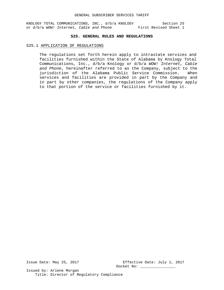## **S25. GENERAL RULES AND REGULATIONS**

### S25.1 APPLICATION OF REGULATIONS

The regulations set forth herein apply to intrastate services and facilities furnished within the State of Alabama by Knology Total Communications, Inc., d/b/a Knology or d/b/a *WOW! Internet, Cable and Phone*, hereinafter referred to as the Company, subject to the jurisdiction of the Alabama Public Service Commission. services and facilities are provided in part by the Company and in part by other companies, the regulations of the Company apply to that portion of the service or facilities furnished by it.

Issue Date: May 25, 2017 Effective Date: July 1, 2017 Docket No: \_\_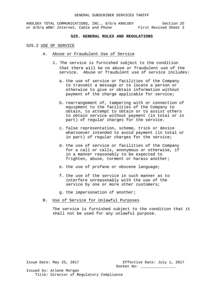## **S25. GENERAL RULES AND REGULATIONS**

### S25.2 USE OF SERVICE

- A. Abuse or Fraudulent Use of Service
	- 1. The service is furnished subject to the condition that there will be no abuse or fraudulent use of the service. Abuse or fraudulent use of service includes:
		- a. the use of service or facilities of the Company to transmit a message or to locate a person or otherwise to give or obtain information without payment of the charge applicable for service;
		- b. rearrangement of, tampering with or connection of equipment to the facilities of the Company to obtain, to attempt to obtain or to assist others to obtain service without payment (in total or in part) of regular charges for the service.
		- c. false representation, scheme, trick or device whatsoever intended to avoid payment (in total or in part) of regular charges for the service;
		- d. the use of service or facilities of the Company for a call or calls, anonymous or otherwise, if in a manner reasonably to be expected to frighten, abuse, torment or harass another;
		- e. the use of profane or obscene language;
		- f. the use of the service in such manner as to interfere unreasonably with the use of the service by one or more other customers;
		- g. the impersonation of another;
- B. Use of Service for Unlawful Purposes

The service is furnished subject to the condition that it shall not be used for any unlawful purpose.

Issue Date: May 25, 2017 Effective Date: July 1, 2017 Docket No: \_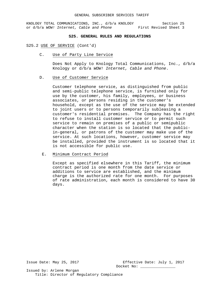# **S25. GENERAL RULES AND REGULATIONS**

### S25.2 USE OF SERVICE (Cont'd)

C. Use of Party Line Service

Does Not Apply to Knology Total Communications, Inc., d/b/a Knology or d/b/a *WOW! Internet, Cable and Phone*.

## D. Use of Customer Service

Customer telephone service, as distinguished from public and semi-public telephone service, is furnished only for use by the customer, his family, employees, or business associates, or persons residing in the customer's household, except as the use of the service may be extended to joint users or to persons temporarily subleasing a customer's residential premises. The Company has the right to refuse to install customer service or to permit such service to remain on premises of a public or semipublic character when the station is so located that the publicin-general, or patrons of the customer may make use of the service. At such locations, however, customer service may be installed, provided the instrument is so located that it is not accessible for public use.

### E. Minimum Contract Period

Except as specified elsewhere in this Tariff, the minimum contract period is one month from the date service or additions to service are established, and the minimum charge is the authorized rate for one month. For purposes of rate administration, each month is considered to have 30 days.

Issue Date: May 25, 2017 Effective Date: July 1, 2017 Docket No: \_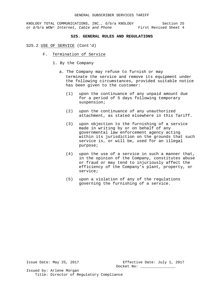## **S25. GENERAL RULES AND REGULATIONS**

### S25.2 USE OF SERVICE (Cont'd)

- F. Termination of Service
	- 1. By the Company
		- a. The Company may refuse to furnish or may terminate the service and remove its equipment under the following circumstances, provided suitable notice has been given to the customer:
			- (1) upon the continuance of any unpaid amount due for a period of 5 days following temporary suspension;
			- (2) upon the continuance of any unauthorized attachment, as stated elsewhere in this Tariff.
			- (3) upon objection to the furnishing of a service made in writing by or on behalf of any governmental law enforcement agency acting within its jurisdiction on the grounds that such service is, or will be, used for an illegal purpose;
			- (4) upon the use of a service in such a manner that, in the opinion of the Company, constitutes abuse or fraud or may tend to injuriously affect the efficiency of the Company's plant, property, or service;
			- (5) upon a violation of any of the regulations governing the furnishing of a service.

Issue Date: May 25, 2017 Effective Date: July 1, 2017 Docket No: \_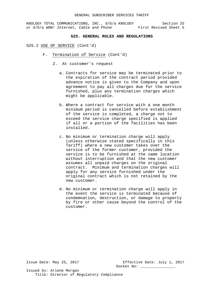## **S25. GENERAL RULES AND REGULATIONS**

### S25.2 USE OF SERVICE (Cont'd)

- F. Termination of Service (Cont'd)
	- 2. At customer's request
		- a. Contracts for service may be terminated prior to the expiration of the contract period provided advance notice is given to the Company and upon agreement to pay all charges due for the service furnished, plus any termination charges which might be applicable.
		- b. Where a contract for service with a one month minimum period is cancelled before establishment of the service is completed, a charge not to exceed the service charge specified is applied if all or a portion of the facilities has been installed.
		- c. No minimum or termination charge will apply (unless otherwise stated specifically in this Tariff) where a new customer takes over the service of the former customer, provided the service is to be furnished at the same location without interruption and that the new customer assumes all unpaid charges on the original contract. Minimum and termination charges will apply for any service furnished under the original contract which is not retained by the new customer.
		- d. No minimum or termination charge will apply in the event the service is terminated because of condemnation, destruction, or damage to property by fire or other cause beyond the control of the customer.

Issue Date: May 25, 2017 Effective Date: July 1, 2017 Docket No: \_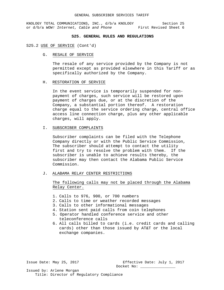# **S25. GENERAL RULES AND REGULATIONS**

### S25.2 USE OF SERVICE (Cont'd)

G. RESALE OF SERVICE

The resale of any service provided by the Company is not permitted except as provided elsewhere in this Tariff or as specifically authorized by the Company.

## H. RESTORATION OF SERVICE

In the event service is temporarily suspended for nonpayment of charges, such service will be restored upon payment of charges due, or at the discretion of the Company, a substantial portion thereof. A restoration charge equal to the service ordering charge, central office access line connection charge, plus any other applicable charges, will apply.

## I. SUBSCRIBER COMPLAINTS

Subscriber complaints can be filed with the Telephone Company directly or with the Public Service Commission, The subscriber should attempt to contact the utility first and try to resolve the problem with them. If the subscriber is unable to achieve results thereby, the subscriber may then contact the Alabama Public Service Commission.

J. ALABAMA RELAY CENTER RESTRICTIONS

The following calls may not be placed through the Alabama Relay Center.

- 1. Calls to 976, 900, or 700 numbers
- 2. Calls to time or weather recorded messages
- 3. Calls to other informational messages
- 4. Station sent paid calls from coin telephones
- 5. Operator handled conference service and other teleconference calls
- 6. All calls billed to cards (i.e. credit cards and calling cards) other than those issued by AT&T or the local exchange companies.

Issue Date: May 25, 2017 Effective Date: July 1, 2017 Docket No: \_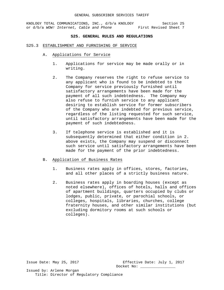## **S25. GENERAL RULES AND REGULATIONS**

### S25.3 ESTABLISHMENT AND FURNISHING OF SERVICE

- A. Applications for Service
	- 1. Applications for service may be made orally or in writing.
	- 2. The Company reserves the right to refuse service to any applicant who is found to be indebted to the Company for service previously furnished until satisfactory arrangements have been made for the payment of all such indebtedness. The Company may also refuse to furnish service to any applicant desiring to establish service for former subscribers of the Company who are indebted for previous service, regardless of the listing requested for such service, until satisfactory arrangements have been made for the payment of such indebtedness.
	- 3. If telephone service is established and it is subsequently determined that either condition in 2. above exists, the Company may suspend or disconnect such service until satisfactory arrangements have been made for the payment of the prior indebtedness.

# B. Application of Business Rates

- 1. Business rates apply in offices, stores, factories, and all other places of a strictly business nature.
- 2. Business rates apply in boarding houses (except as noted elsewhere), offices of hotels, halls and offices of apartment buildings, quarters occupied by clubs or lodges, public, private, or parochial schools, or colleges, hospitals, libraries, churches, college fraternity houses, and other similar institutions (but excluding dormitory rooms at such schools or colleges).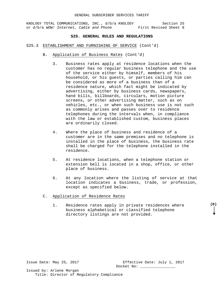## **S25. GENERAL RULES AND REGULATIONS**

### S25.3 ESTABLISHMENT AND FURNISHING OF SERVICE (Cont'd)

- B. Application of Business Rates (Cont'd)
	- 3. Business rates apply at residence locations when the customer has no regular business telephone and the use of the service either by himself, members of his household, or his guests, or parties calling him can be considered as more of a business than of a residence nature, which fact might be indicated by advertising, either by business cards, newspapers, hand bills, billboards, circulars, motion picture screens, or other advertising matter, such as on vehicles, etc., or when such business use is not such as commonly arises and passes over to residence telephones during the intervals when, in compliance with the law or established custom, business places are ordinarily closed.
	- 4. Where the place of business and residence of a customer are in the same premises and no telephone is installed in the place of business, the business rate shall be charged for the telephone installed in the residence.
	- 5. At residence locations, when a telephone station or extension bell is located in a shop, office, or other place of business.
	- 6. At any location where the listing of service at that location indicates a business, trade, or profession, except as specified below.
- C. Application of Residence Rates
	- 1. Residence rates apply in private residences where business alphabetical or classified telephone directory listings are not provided.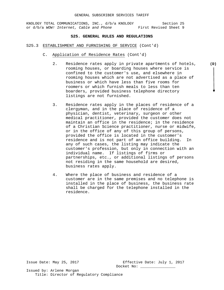## **S25. GENERAL RULES AND REGULATIONS**

### S25.3 ESTABLISHMENT AND FURNISHING OF SERVICE (Cont'd)

- C. Application of Residence Rates (Cont'd)
	- 2. Residence rates apply in private apartments of hotels, **(D)**rooming houses, or boarding houses where service is confined to the customer's use, and elsewhere in rooming houses which are not advertised as a place of business or which have less than five rooms for roomers or which furnish meals to less than ten boarders, provided business telephone directory listings are not furnished.
	- 3. Residence rates apply in the places of residence of a clergyman, and in the place of residence of a physician, dentist, veterinary, surgeon or other medical practitioner, provided the customer does not maintain an office in the residence; in the residence of a Christian Science practitioner, nurse or midwife, or in the office of any of this group of persons, provided the office is located in the customer's residence and is not part of an office building. In any of such cases, the listing may indicate the customer's profession, but only in connection with an individual name. If listings of firms or partnerships, etc., or additional listings of persons not residing in the same household are desired, business rates apply.
	- 4. Where the place of business and residence of a customer are in the same premises and no telephone is installed in the place of business, the business rate shall be charged for the telephone installed in the residence.

Issue Date: May 25, 2017 Effective Date: July 1, 2017 Docket No: \_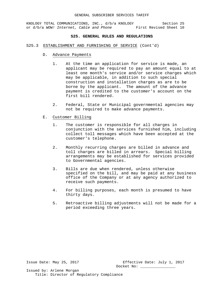## **S25. GENERAL RULES AND REGULATIONS**

- S25.3 ESTABLISHMENT AND FURNISHING OF SERVICE (Cont'd)
	- D. Advance Payments
		- 1. At the time an application for service is made, an applicant may be required to pay an amount equal to at least one month's service and/or service charges which may be applicable, in addition to such special construction and installation charges as are to be borne by the applicant. The amount of the advance payment is credited to the customer's account on the first bill rendered.
		- 2. Federal, State or Municipal governmental agencies may not be required to make advance payments.
	- E. Customer Billing
		- 1. The customer is responsible for all charges in conjunction with the services furnished him, including collect toll messages which have been accepted at the customer's telephone.
		- 2. Monthly recurring charges are billed in advance and toll charges are billed in arrears. Special billing arrangements may be established for services provided to Governmental agencies.
		- 3. Bills are due when rendered, unless otherwise specified on the bill, and may be paid at any business office of the Company or at any agency authorized to receive such payments.
		- 4. For billing purposes, each month is presumed to have thirty days.
		- 5. Retroactive billing adjustments will not be made for a period exceeding three years.

Issue Date: May 25, 2017 Effective Date: July 1, 2017 Docket No: \_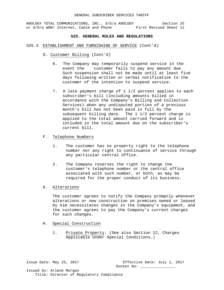## **S25. GENERAL RULES AND REGULATIONS**

### S25.3 ESTABLISHMENT AND FURNISHING OF SERVICE (Cont'd)

- E. Customer Billing (Cont'd)
	- 6. The Company may temporarily suspend service in the event the customer fails to pay any amount due. Such suspension shall not be made until at least five days following written or verbal notification to the customer of the intention to suspend service.
	- 7. A late payment charge of 1 1/2 percent applies to each subscriber's bill (including amounts billed in accordance with the Company's Billing and Collection Services) when any undisputed portion of a previous month's bill has not been paid in full by the subsequent billing date. The 1 1/2 percent charge is applied to the total amount carried forward and is included in the total amount due on the subscriber's current bill.
- F. Telephone Numbers
	- 1. The customer has no property right to the telephone number nor any right to continuance of service through any particular central office.
	- 2. The Company reserves the right to change the customer's telephone number or the central office associated with such number, or both, as may be required for the proper conduct of its business.
- G. Alterations

The customer agrees to notify the Company promptly whenever alterations or new construction on premises owned or leased by him necessitates changes in the Company's equipment, and the customer agrees to pay the Company's current charges for such changes.

- H. Special Construction
	- 1. Private Property. (See also Section 12, Charges Applicable Under Special Conditions.)

Issue Date: May 25, 2017 Effective Date: July 1, 2017 Docket No: \_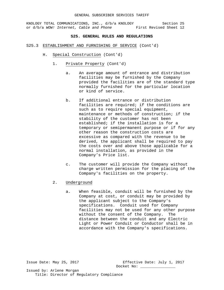## **S25. GENERAL RULES AND REGULATIONS**

### S25.3 ESTABLISHMENT AND FURNISHING OF SERVICE (Cont'd)

- H. Special Construction (Cont'd)
	- 1. Private Property (Cont'd)
		- a. An average amount of entrance and distribution facilities may be furnished by the Company provided the facilities are of the standard type normally furnished for the particular location or kind of service.
		- b. If additional entrance or distribution facilities are required; if the conditions are such as to require special equipment, maintenance or methods of construction; if the stability of the customer has not been established; if the installation is for a temporary or semipermanent purpose or if for any other reason the construction costs are excessive as compared with the revenue to be derived, the applicant shall be required to pay the costs over and above those applicable for a normal installation, as provided in the Company's Price list.
		- c. The customer will provide the Company without charge written permission for the placing of the Company's facilities on the property.
	- 2. Underground
		- a. When feasible, conduit will be furnished by the Company at cost, or conduit may be provided by the applicant subject to the Company's specifications. Conduit used for Company facilities may not be used for any other purpose without the consent of the Company. The distance between the conduit and any Electric Light or Power Conduit or Conductor shall be in accordance with the Company's specifications.

Issue Date: May 25, 2017 Effective Date: July 1, 2017 Docket No: \_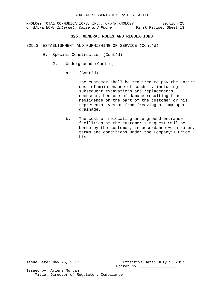# **S25. GENERAL RULES AND REGULATIONS**

## S25.3 ESTABLISHMENT AND FURNISHING OF SERVICE (Cont'd)

- H. Special Construction (Cont'd)
	- 2. Underground (Cont'd)
		- a. (Cont'd)

The customer shall be required to pay the entire cost of maintenance of conduit, including subsequent excavations and replacements necessary because of damage resulting from negligence on the part of the customer or his representatives or from freezing or improper drainage.

b. The cost of relocating underground entrance facilities at the customer's request will be borne by the customer, in accordance with rates, terms and conditions under the Company's Price List.

Issue Date: May 25, 2017 Effective Date: July 1, 2017 Docket No: \_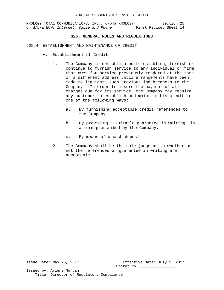## **S25. GENERAL RULES AND REGULATIONS**

### 525.4 ESTABLISHMENT AND MAINTENANCE OF CREDIT

- A. Establishment of Credit
	- 1. The Company is not obligated to establish, furnish or continue to furnish service to any individual or firm that owes for service previously rendered at the same or a different address until arrangements have been made to liquidate such previous indebtedness to the Company. In order to insure the payment of all charges due for its service, the Company may require any customer to establish and maintain his credit in one of the following ways:
		- a. By furnishing acceptable credit references to the Company.
		- b. By providing a suitable guarantee in writing, in a form prescribed by the Company.
		- c. By means of a cash deposit.
	- 2. The Company shall be the sole judge as to whether or not the references or guarantee in writing are acceptable.

Issue Date: May 25, 2017 Effective Date: July 1, 2017 Docket No: \_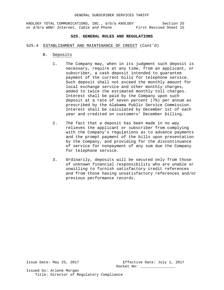## **S25. GENERAL RULES AND REGULATIONS**

- S25.4 ESTABLISHMENT AND MAINTENANCE OF CREDIT (Cont'd)
	- B. Deposits
		- 1. The Company may, when in its judgment such deposit is necessary, require at any time, from an applicant, or subscriber, a cash deposit intended to guarantee payment of the current bills for telephone service. Such deposit shall not exceed the monthly amount for local exchange service and other monthly charges, added to twice the estimated monthly toll charges. Interest shall be paid by the Company upon such deposit at a rate of seven percent (7%) per annum as prescribed by the Alabama Public Service Commission. Interest shall be calculated by December 1st of each year and credited on customers' December billing.
		- 2. The fact that a deposit has been made in no way relieves the applicant or subscriber from complying with the Company's regulations as to advance payments and the prompt payment of the bills upon presentation by the Company, and providing for the discontinuance of service for nonpayment of any sum due the Company for telephone service.
		- 3. Ordinarily, deposits will be secured only from those of unknown financial responsibility who are unable or unwilling to furnish satisfactory credit references and from those having unsatisfactory references and/or previous performance records.

Issue Date: May 25, 2017 Effective Date: July 1, 2017 Docket No: \_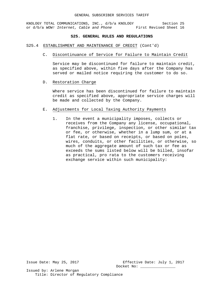## **S25. GENERAL RULES AND REGULATIONS**

### S25.4 ESTABLISHMENT AND MAINTENANCE OF CREDIT (Cont'd)

C. Discontinuance of Service for Failure to Maintain Credit

Service may be discontinued for failure to maintain credit, as specified above, within five days after the Company has served or mailed notice requiring the customer to do so.

# D. Restoration Charge

Where service has been discontinued for failure to maintain credit as specified above, appropriate service charges will be made and collected by the Company.

- E. Adjustments for Local Taxing Authority Payments
	- 1. In the event a municipality imposes, collects or receives from the Company any license, occupational, franchise, privilege, inspection, or other similar tax or fee, or otherwise, whether in a lump sum, or at a flat rate, or based on receipts, or based on poles, wires, conduits, or other facilities, or otherwise, so much of the aggregate amount of such tax or fee as exceeds the sums listed below will be billed, insofar as practical, pro rata to the customers receiving exchange service within such municipality:

Issue Date: May 25, 2017 Effective Date: July 1, 2017 Docket No: \_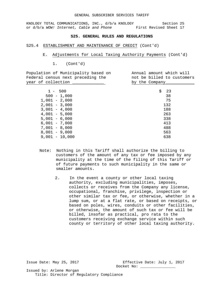## **S25. GENERAL RULES AND REGULATIONS**

### S25.4 ESTABLISHMENT AND MAINTENANCE OF CREDIT (Cont'd)

- E. Adjustments for Local Taxing Authority Payments (Cont'd)
	- 1. (Cont'd)

| Population of Municipality based on<br>Federal census next preceding the<br>year of collection __ | Annual amount which will<br>not be billed to customers<br>by the Company_ |
|---------------------------------------------------------------------------------------------------|---------------------------------------------------------------------------|
|                                                                                                   |                                                                           |
| $1 - 500$                                                                                         | \$<br>23                                                                  |
| $500 - 1,000$                                                                                     | 38                                                                        |
| $1,001 - 2,000$                                                                                   | 75                                                                        |
| $2,001 - 3,000$                                                                                   | 132                                                                       |
| $3,001 - 4,000$                                                                                   | 188                                                                       |
| $4,001 - 5,000$                                                                                   | 263                                                                       |
| $5,001 - 6,000$                                                                                   | 338                                                                       |
| $6,001 - 7,000$                                                                                   | 413                                                                       |
| $7,001 - 8,000$                                                                                   | 488                                                                       |
| $8,001 - 9,000$                                                                                   | 563                                                                       |
| $9,001 - 10,000$                                                                                  | 638                                                                       |
|                                                                                                   |                                                                           |

- Note: Nothing in this Tariff shall authorize the billing to customers of the amount of any tax or fee imposed by any municipality at the time of the filing of this Tariff or of future payments to such municipality in the same or smaller amounts.
	- 2. In the event a county or other local taxing authority, excluding municipalities, imposes, collects or receives from the Company any license, occupational, franchise, privilege, inspection or other similar tax or fee, or otherwise, whether in a lump sum, or at a flat rate, or based on receipts, or based on poles, wires, conduits or other facilities, or otherwise, the amount of such tax or fee will be billed, insofar as practical, pro rata to the customers receiving exchange service within such county or territory of other local taxing authority.

Issue Date: May 25, 2017 Effective Date: July 1, 2017 Docket No: \_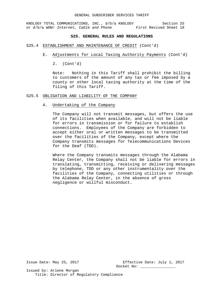#### GENERAL SUBSCRIBER SERVICES TARIFF

KNOLOGY TOTAL COMMUNICATIONS, INC., d/b/a KNOLOGY Section 25 or d/b/a *WOW! Internet, Cable and Phone* First Revised Sheet 18

## **S25. GENERAL RULES AND REGULATIONS**

### S25.4 ESTABLISHMENT AND MAINTENANCE OF CREDIT (Cont'd)

- E. Adjustments for Local Taxing Authority Payments (Cont'd)
	- 2. (Cont'd)

Note: Nothing in this Tariff shall prohibit the billing to customers of the amount of any tax or fee imposed by a county or other local taxing authority at the time of the filing of this Tariff.

## S25.5 OBLIGATION AND LIABILITY OF THE COMPANY

## A. Undertaking of the Company

The Company will not transmit messages, but offers the use of its facilities when available, and will not be liable for errors in transmission or for failure to establish connections. Employees of the Company are forbidden to accept either oral or written messages to be transmitted over the facilities of the Company, except where the Company transmits messages for Telecommunications Devices for the Deaf (TDD).

Where the Company transmits messages through the Alabama Relay Center, the Company shall not be liable for errors in translating, transmitting, receiving or delivering messages by telephone, TDD or any other instrumentality over the facilities of the Company, connecting utilities or through the Alabama Relay Center, in the absence of gross negligence or willful misconduct.

Issue Date: May 25, 2017 Effective Date: July 1, 2017 Docket No: \_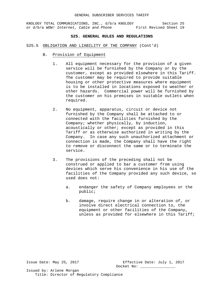## **S25. GENERAL RULES AND REGULATIONS**

- S25.5 OBLIGATION AND LIABILITY OF THE COMPANY (Cont'd)
	- B. Provision of Equipment
		- 1. All equipment necessary for the provision of a given service will be furnished by the Company or by the customer, except as provided elsewhere in this Tariff. The customer may be required to provide suitable housing or other protective measures where equipment is to be installed in locations exposed to weather or other hazards. Commercial power will be furnished by the customer on his premises in suitable outlets when required.
		- 2. No equipment, apparatus, circuit or device not furnished by the Company shall be attached to or connected with the facilities furnished by the Company; whether physically, by induction, acoustically or other; except as provided in this Tariff or as otherwise authorized in writing by the Company. In case any such unauthorized attachment or connection is made, the Company shall have the right to remove or disconnect the same or to terminate the service.
		- 3. The provisions of the preceding shall not be construed or applied to bar a customer from using devices which serve his convenience in his use of the facilities of the Company provided any such device, so used does not:
			- a. endanger the safety of Company employees or the public;
			- b. damage, require change in or alteration of, or involve direct electrical connection to, the equipment or other facilities of the Company, unless as provided for elsewhere in this Tariff;

Issue Date: May 25, 2017 Effective Date: July 1, 2017 Docket No: \_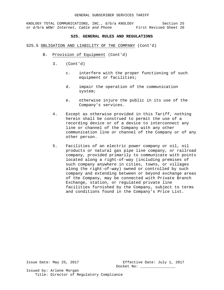#### **S25. GENERAL RULES AND REGULATIONS**

#### S25.5 OBLIGATION AND LIABILITY OF THE COMPANY (Cont'd)

- B. Provision of Equipment (Cont'd)
	- 3. (Cont'd)
		- c. interfere with the proper functioning of such equipment or facilities;
		- d. impair the operation of the communication system;
		- e. otherwise injure the public in its use of the Company's services.
	- 4. Except as otherwise provided in this Tariff, nothing herein shall be construed to permit the use of a recording device or of a device to interconnect any line or channel of the Company with any other communication line or channel of the Company or of any other person.
	- 5. Facilities of an electric power company or oil, oil products or natural gas pipe line company, or railroad company, provided primarily to communicate with points located along a right-of-way (including premises of such company anywhere in cities, towns, or villages along the right-of-way) owned or controlled by such company and extending between or beyond exchange areas of the Company, may be connected with Private Branch Exchange, station, or regulated private line facilities furnished by the Company, subject to terms and conditions found in the Company's Price List.

Issue Date: May 25, 2017 Effective Date: July 1, 2017 Docket No: \_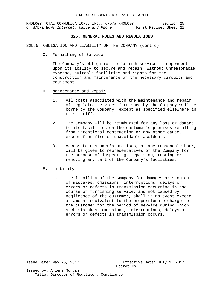#### **S25. GENERAL RULES AND REGULATIONS**

#### S25.5 OBLIGATION AND LIABILITY OF THE COMPANY (Cont'd)

C. Furnishing of Service

The Company's obligation to furnish service is dependent upon its ability to secure and retain, without unreasonable expense, suitable facilities and rights for the construction and maintenance of the necessary circuits and equipment.

- D. Maintenance and Repair
	- 1. All costs associated with the maintenance and repair of regulated services furnished by the Company will be borne by the Company, except as specified elsewhere in this Tariff.
	- 2. The Company will be reimbursed for any loss or damage to its facilities on the customer's premises resulting from intentional destruction or any other cause, except from fire or unavoidable accidents.
	- 3. Access to customer's premises, at any reasonable hour, will be given to representatives of the Company for the purpose of inspecting, repairing, testing or removing any part of the Company's facilities.
- E. Liability
	- 1. The liability of the Company for damages arising out of mistakes, omissions, interruptions, delays or errors or defects in transmission occurring in the course of furnishing service, and not caused by negligence of the customer, shall in no event exceed an amount equivalent to the proportionate charge to the customer for the period of service during which such mistakes, omissions, interruptions, delays or errors or defects in transmission occurs.

Issue Date: May 25, 2017 Effective Date: July 1, 2017 Docket No: \_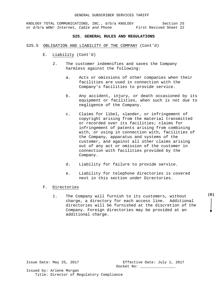#### **S25. GENERAL RULES AND REGULATIONS**

- S25.5 OBLIGATION AND LIABILITY OF THE COMPANY (Cont'd)
	- E. Liability (Cont'd)
		- 2. The customer indemnifies and saves the Company harmless against the following:
			- a. Acts or omissions of other companies when their facilities are used in connection with the Company's facilities to provide service.
			- b. Any accident, injury, or death occasioned by its equipment or facilities, when such is not due to negligence of the Company.
			- c. Claims for libel, slander, or infringement of copyright arising from the material transmitted or recorded over its facilities; claims for infringement of patents arising from combining with, or using in connection with, facilities of the Company, apparatus and systems of the customer, and against all other claims arising out of any act or omission of the customer in connection with facilities provided by the Company.
			- d. Liability for failure to provide service.
			- e. Liability for telephone directories is covered next in this section under Directories.
	- F. Directories
		- 1. The Company will furnish to its customers, without charge, a directory for each access line. Additional directories will be furnished at the discretion of the Company. Foreign directories may be provided at an additional charge.

Issue Date: May 25, 2017 Effective Date: July 1, 2017 Docket No: \_

Issued by: Arlene Morgan Title: Director of Regulatory Compliance **(D)**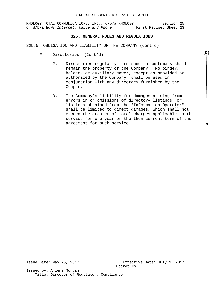#### **S25. GENERAL RULES AND REGULATIONS**

- S25.5 OBLIGATION AND LIABILITY OF THE COMPANY (Cont'd)
	- F. Directories (Cont'd)
		- 2. Directories regularly furnished to customers shall remain the property of the Company. No binder, holder, or auxiliary cover, except as provided or authorized by the Company, shall be used in conjunction with any directory furnished by the Company.
		- 3. The Company's liability for damages arising from errors in or omissions of directory listings, or listings obtained from the "Information Operator", shall be limited to direct damages, which shall not exceed the greater of total charges applicable to the service for one year or the then current term of the agreement for such service.

Issue Date: May 25, 2017 Effective Date: July 1, 2017 Docket No: \_

Issued by: Arlene Morgan Title: Director of Regulatory Compliance **(D)**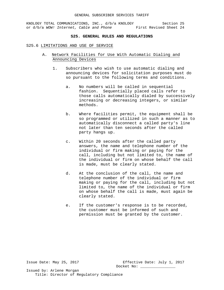### **S25. GENERAL RULES AND REGULATIONS**

#### S25.6 LIMITATIONS AND USE OF SERVICE

- A. Network Facilities for Use With Automatic Dialing and Announcing Devices
	- 1. Subscribers who wish to use automatic dialing and announcing devices for solicitation purposes must do so pursuant to the following terms and conditions.
		- a. No numbers will be called in sequential fashion. Sequentially placed calls refer to those calls automatically dialed by successively increasing or decreasing integers, or similar methods.
		- b. Where facilities permit, the equipment shall be so programmed or utilized in such a manner as to automatically disconnect a called party's line not later than ten seconds after the called party hangs up.
		- c. Within 20 seconds after the called party answers, the name and telephone number of the individual or firm making or paying for the call, including but not limited to, the name of the individual or firm on whose behalf the call is made, must be clearly stated.
		- d. At the conclusion of the call, the name and telephone number of the individual or firm making or paying for the call, including but not limited to, the name of the individual or firm on whose behalf the call is made, must again be clearly stated.
		- e. If the customer's response is to be recorded, the customer must be informed of such and permission must be granted by the customer.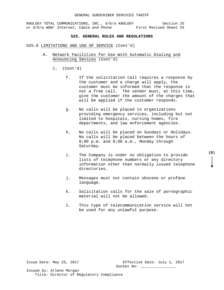### **S25. GENERAL RULES AND REGULATIONS**

#### S25.6 LIMITATIONS AND USE OF SERVICE (Cont'd)

- A. Network Facilities for Use With Automatic Dialing and Announcing Devices (Cont'd)
	- 1. (Cont'd)
		- f. If the solicitation call requires a response by the customer and a charge will apply, the customer must be informed that the response is not a free call. The vendor must, at this time, give the customer the amount of the charges that will be applied if the customer responds.
		- g. No calls will be placed to organizations providing emergency services, including but not limited to hospitals, nursing homes, fire departments, and law enforcement agencies.
		- h. No calls will be placed on Sundays or Holidays. No calls will be placed between the hours of 8:00 p.m. and 8:00 a.m., Monday through Saturday.
		- i. The Company is under no obligation to provide lists of telephone numbers or any directory information other than normally issued telephone directories.
		- j. Messages must not contain obscene or profane language.
		- k. Solicitation calls for the sale of pornographic material will not be allowed.
		- 1. This type of telecommunication service will not be used for any unlawful purpose.

Issue Date: May 25, 2017 Effective Date: July 1, 2017 Docket No: \_

Issued by: Arlene Morgan Title: Director of Regulatory Compliance

# **(D)**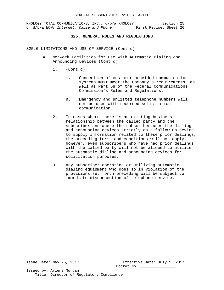### **S25. GENERAL RULES AND REGULATIONS**

### S25.6 LIMITATIONS AND USE OF SERVICE (Cont'd)

- A. Network Facilities for Use With Automatic Dialing and Announcing Devices (Cont'd)
	- 1. (Cont'd)
		- m. Connection of customer provided communication systems must meet the Company's requirements, as well as Part 68 of the Federal Communications Commission's Rules and Regulations.
		- n. Emergency and unlisted telephone numbers will not be used with recorded solicitation communication.
	- 2. In cases where there is an existing business relationship between the called party and the subscriber and where the subscriber uses the dialing and announcing devices strictly as a follow up device to supply information related to these prior dealings, the preceding terms and conditions will not apply. However, even subscribers who have had prior dealings with the called party will not be allowed to utilize the automatic dialing and announcing devices for solicitation purposes.
	- 3. Any subscriber operating or utilizing automatic dialing equipment who does so in violation of the provisions set forth preceding will be subject to immediate disconnection of telephone service.

Issue Date: May 25, 2017 Effective Date: July 1, 2017 Docket No: \_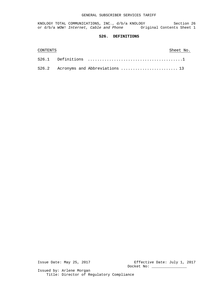KNOLOGY TOTAL COMMUNICATIONS, INC., d/b/a KNOLOGY Section 26 or d/b/a WOW! Internet, Cable and Phone **Original Contents Sheet 1** 

# **S26. DEFINITIONS**

| CONTENTS |  | Sheet No. |  |
|----------|--|-----------|--|
|          |  |           |  |
|          |  |           |  |

Issue Date: May 25, 2017 Effective Date: July 1, 2017 Docket No: \_\_\_\_\_\_\_\_\_\_\_\_\_\_\_\_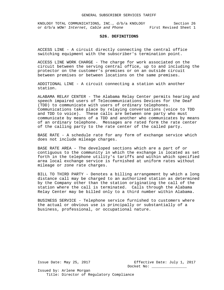### **S26. DEFINITIONS**

ACCESS LINE - A circuit directly connecting the central office switching equipment with the subscriber's termination point.

ACCESS LINE WORK CHARGE - The charge for work associated on the circuit between the serving central office, up to and including the protector on the customer's premises or on an outside circuit between premises or between locations on the same premises.

ADDITIONAL LINE - A circuit connecting a station with another station.

ALABAMA RELAY CENTER - The Alabama Relay Center permits hearing and speech impaired users of Telecommunications Devices for the Deaf (TDD) to communicate with users of ordinary telephones. Communications take place by relaying conversations (voice to TDD and TDD to voice). These calls are between one party who must communicate by means of a TDD and another who communicates by means of an ordinary telephone. Messages are rated form the rate center of the calling party to the rate center of the called party.

BASE RATE - A schedule rate for any form of exchange service which does not include mileage charges.

BASE RATE AREA - The developed sections which are a part of or contiguous to the community in which the exchange is located as set forth in the telephone utility's tariffs and within which specified area local exchange service is furnished at uniform rates without mileage or zone rate charges.

BILL TO THIRD PARTY - Denotes a billing arrangement by which a long distance call may be charged to an authorized station as determined by the Company other than the station originating the call of the station where the call is terminated. Calls through the Alabama Relay Center may be billed only to a third number within Alabama.

BUSINESS SERVICE - Telephone service furnished to customers where the actual or obvious use is principally or substantially of a business, professional, or occupational nature.

Issue Date: May 25, 2017 Effective Date: July 1, 2017 Docket No: \_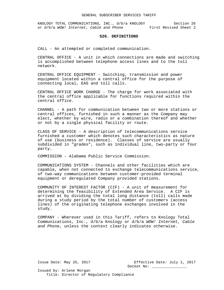KNOLOGY TOTAL COMMUNICATIONS, INC., d/b/a KNOLOGY Section 26 or d/b/a *WOW! Internet, Cable and Phone* First Revised Sheet 2

# **S26. DEFINITIONS**

CALL - An attempted or completed communication.

CENTRAL OFFICE - A unit in which connections are made and switching is accomplished between telephone access lines and to the toll network.

CENTRAL OFFICE EQUIPMENT - Switching, transmission and power equipment located within a central office for the purpose of connecting local, EAS and toll calls.

CENTRAL OFFICE WORK CHARGE - The charge for work associated with the central office applicable for functions required within the central office.

CHANNEL - A path for communication between two or more stations or central offices, furnished in such a manner as the Company may elect, whether by wire, radio or a combination thereof and whether or not by a single physical facility or route.

CLASS OF SERVICE - A description of telecommunications service furnished a customer which denotes such characteristics as nature of use (business or residence). Classes of service are usually subdivided in "grades", such as individual line, two-party or four party.

COMMISSION - Alabama Public Service Commission.

COMMUNICATIONS SYSTEM - Channels and other facilities which are capable, when not connected to exchange telecommunications service, of two-way communications between customer-provided terminal equipment or deregulated Company provided stations.

COMMUNITY OF INTEREST FACTOR (CIF) - A unit of measurement for determining the feasibility of Extended Area Service. A CIF is arrived at by dividing the total long distance (toll) calls made during a study period by the total number of customers (access lines) of the originating telephone exchanges involved in the study.

COMPANY - Wherever used in this Tariff, refers to Knology Total Communications, Inc., d/b/a Knology or d/b/a *WOW! Internet, Cable and Phone*, unless the context clearly indicates otherwise.

Issue Date: May 25, 2017 Effective Date: July 1, 2017 Docket No: \_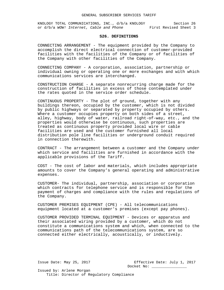#### **S26. DEFINITIONS**

CONNECTING ARRANGEMENT - The equipment provided by the Company to accomplish the direct electrical connection of customer-provided facilities with the facilities of the Company or of facilities of the Company with other facilities of the Company.

CONNECTING COMPANY - A corporation, association, partnership or individual owning or operating one or more exchanges and with which communications services are interchanged.

CONSTRUCTION CHARGE - A separate nonrecurring charge made for the construction of facilities in excess of those contemplated under the rates quoted in the service order schedule.

CONTINUOUS PROPERTY - The plot of ground, together with any buildings thereon, occupied by the customer, which is not divided by public highways or separated by property occupied by others. Where a customer occupies property on both sides of a street, alley, highway, body of water, railroad right-of-way, etc., and the properties would otherwise be continuous, such properties are treated as continuous property provided local wire or cable facilities are used and the customer furnished all local distribution pole line facilities or underground conduit required in connection therewith.

CONTRACT - The arrangement between a customer and the Company under which service and facilities are furnished in accordance with the applicable provisions of the Tariff.

COST - The cost of labor and materials, which includes appropriate amounts to cover the Company's general operating and administrative expenses.

CUSTOMER- The individual, partnership, association or corporation which contracts for telephone service and is responsible for the payment of charges and compliance with the rules and regulations of the Company.

CUSTOMER PREMISES EQUIPMENT (CPE) - All telecommunications equipment located at a customer's premises (except pay phones).

CUSTOMER PROVIDED TERMINAL EQUIPMENT - Devices or apparatus and their associated wiring provided by a customer, which do not constitute a communications system and which, when connected to the communications path of the telecommunications system, are so connected either electrically, acoustically, or inductively.

Issue Date: May 25, 2017 Effective Date: July 1, 2017 Docket No: \_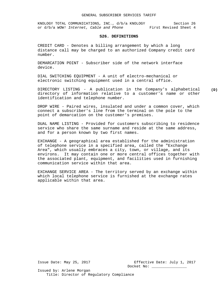KNOLOGY TOTAL COMMUNICATIONS, INC., d/b/a KNOLOGY Section 26 or d/b/a *WOW! Internet, Cable and Phone* First Revised Sheet 4

#### **S26. DEFINITIONS**

CREDIT CARD - Denotes a billing arrangement by which a long distance call may be charged to an authorized Company credit card number.

DEMARCATION POINT - Subscriber side of the network interface device.

DIAL SWITCHING EQUIPMENT - A unit of electro-mechanical or electronic switching equipment used in a central office.

DIRECTORY LISTING - A publication in the Company's alphabetical directory of information relative to a customer's name or other identification and telephone number.

DROP WIRE - Paired wires, insulated and under a common cover, which connect a subscriber's line from the terminal on the pole to the point of demarcation on the customer's premises.

DUAL NAME LISTING - Provided for customers subscribing to residence service who share the same surname and reside at the same address, and for a person known by two first names.

EXCHANGE - A geographical area established for the administration of telephone service in a specified area, called the "Exchange Area", which usually embraces a city, town, or village, and its environs. It may contain one or more central offices together with the associated plant, equipment, and facilities used in furnishing communication service within that area.

EXCHANGE SERVICE AREA - The territory served by an exchange within which local telephone service is furnished at the exchange rates applicable within that area.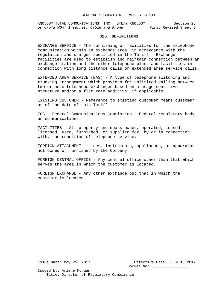KNOLOGY TOTAL COMMUNICATIONS, INC., d/b/a KNOLOGY Section 26 or d/b/a *WOW!* Internet, Cable and Phone First Revised Sheet 5

#### **S26. DEFINITIONS**

EXCHANGE SERVICE - The furnishing of facilities for the telephone communication within an exchange area, in accordance with the regulation and charges specified in the Tariff. Exchange facilities are used to establish and maintain connection between an exchange station and the other telephone plant and facilities in connection with long distance calls or extended area service calls.

EXTENDED AREA SERVICE (EAS) - A type of telephone switching and trunking arrangement which provides for unlimited calling between two or more telephone exchanges based on a usage-sensitive structure and/or a flat rate additive, if applicable.

EXISTING CUSTOMER - Reference to existing customer means customer as of the date of this Tariff.

FCC - Federal Communications Commission - Federal regulatory body on communications.

FACILITIES - All property and means owned, operated, leased, licensed, used, furnished, or supplied for, by or in connection with, the rendition of telephone service.

FOREIGN ATTACHMENT - Lines, instruments, appliances, or apparatus not owned or furnished by the Company.

FOREIGN CENTRAL OFFICE - Any central office other than that which serves the area in which the customer is located.

FOREIGN EXCHANGE - Any other exchange but that in which the customer is located.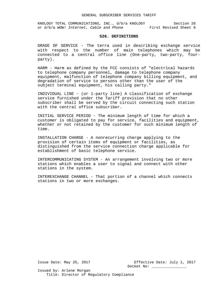KNOLOGY TOTAL COMMUNICATIONS, INC., d/b/a KNOLOGY Section 26 or d/b/a *WOW! Internet, Cable and Phone* First Revised Sheet 6

#### **S26. DEFINITIONS**

GRADE OF SERVICE - The terra used in describing exchange service with respect to the number of main telephones which may be connected to a central office line (One-party, two-party, fourparty).

HARM - Harm as defined by the FCC consists of "electrical hazards to telephone company personnel, damage to telephone company equipment, malfunction of telephone company billing equipment, and degradation of service to persons other than the user of the subject terminal equipment, his calling party."

INDIVIDUAL LINE - (or 1-party line) A classification of exchange service furnished under the Tariff provision that no other subscriber shall be served by the circuit connecting such station with the central office subscriber.

INITIAL SERVICE PERIOD - The minimum length of time for which a customer is obligated to pay for service, facilities and equipment, whether or not retained by the customer for such minimum length of time.

INSTALLATION CHARGE - A nonrecurring charge applying to the provision of certain items of equipment or facilities, as distinguished from the service connection charge applicable for establishment of basic telephone service.

INTERCOMMUNICATING SYSTEM - An arrangement involving two or more stations which enables a user to signal and connect with other stations in the system.

INTEREXCHANGE CHANNEL - That portion of a channel which connects stations in two or more exchanges.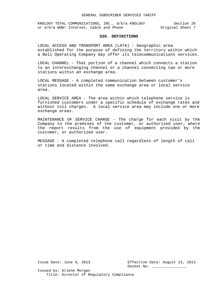#### **S26. DEFINITIONS**

LOCAL ACCESS AND TRANSPORT AREA (LATA) - Geographic area established for the purpose of defining the territory within which a Bell Operating Company may offer its telecommunications services.

LOCAL CHANNEL - That portion of a channel which connects a station to an interexchanging channel or a channel connecting two or more stations within an exchange area.

LOCAL MESSAGE - A completed communication between customer's stations located within the same exchange area or local service area.

LOCAL SERVICE AREA - The area within which telephone service is furnished customers under a specific schedule of exchange rates and without toll charges. A local service area may include one or more exchange areas.

MAINTENANCE OF SERVICE CHARGE - The charge for each visit by the Company to the premises of the customer, or authorized user, where the report results from the use of equipment provided by the customer, or authorized user.

MESSAGE - A completed telephone call regardless of length of call or time and distance involved.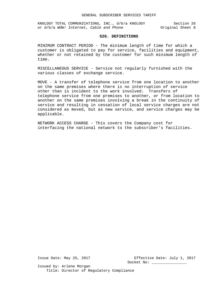#### **S26. DEFINITIONS**

MINIMUM CONTRACT PERIOD - The minimum length of time for which a customer is obligated to pay for service, facilities and equipment, whether or not retained by the customer for such minimum length of time.

MISCELLANEOUS SERVICE - Service not regularly furnished with the various classes of exchange service.

MOVE - A transfer of telephone service from one location to another on the same premises where there is no interruption of service other than is incident to the work involved. Transfers of telephone service from one premises to another, or from location to another on the same premises involving a break in the continuity of service and resulting in cessation of local service charges are not considered as moved, but as new service, and service charges may be applicable.

NETWORK ACCESS CHARGE - This covers the Company cost for interfacing the national network to the subscriber's facilities.

Issue Date: May 25, 2017 Effective Date: July 1, 2017 Docket No: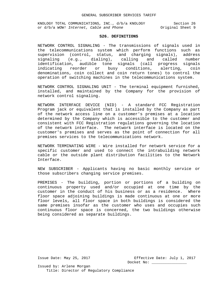#### **S26. DEFINITIONS**

NETWORK CONTROL SIGNALING - The transmissions of signals used in the telecommunications system which perform functions such as supervision (control, status, and charging signals), address signaling (e.g., dialing), calling and called number identification, audible tone signals (call progress signals indicating reorder or busy conditions, alerting, coin denominations, coin collect and coin return tones) to control the operation of switching machines in the telecommunications system.

NETWORK CONTROL SIGNALING UNIT - The terminal equipment furnished, installed, and maintained by the Company for the provision of network control signaling.

NETWORK INTERFACE DEVICE (NID) - A standard FCC Registration Program jack or equivalent that is installed by the Company as part of the network access line on a customer's premises at a location determined by the Company which is accessible to the customer and consistent with FCC Registration regulations governing the location of the network interface. The network interface is located on the customer's premises and serves as the point of connection for all premises services to the telecommunications network.

NETWORK TERMINATING WIRE - Wire installed for network service for a specific customer and used to connect the intrabuilding network cable or the outside plant distribution facilities to the Network Interface.

NEW SUBSCRIBER - Applicants having no basic monthly service or those subscribers changing service premises.

PREMISES - The building, portion or portions of a building on continuous property used and/or occupied at one time by the customer in the conduct of his business or as a residence. Where floor space adjoining buildings is made continuous at one or more floor levels, all floor space in both buildings is considered the same premises insofar as the customer who uses and occupies such continuous floor space is concerned, the two buildings otherwise being considered as separate buildings.

Issue Date: May 25, 2017 Effective Date: July 1, 2017 Docket No: \_\_\_\_\_\_\_\_\_\_\_\_\_\_\_\_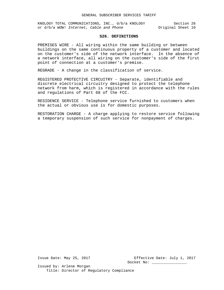#### **S26. DEFINITIONS**

PREMISES WIRE - All wiring within the same building or between buildings on the same continuous property of a customer and located on the customer's side of the network interface. In the absence of a network interface, all wiring on the customer's side of the first point of connection at a customer's premise.

REGRADE - A change in the classification of service.

REGISTERED PROTECTIVE CIRCUITRY - Separate, identifiable and discrete electrical circuitry designed to protect the telephone network from harm, which is registered in accordance with the rules and regulations of Part 68 of the FCC.

RESIDENCE SERVICE - Telephone service furnished to customers when the actual or obvious use is for domestic purposes.

RESTORATION CHARGE - A charge applying to restore service following a temporary suspension of such service for nonpayment of charges.

Issue Date: May 25, 2017 Effective Date: July 1, 2017 Docket No: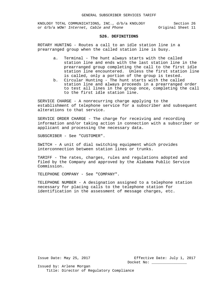#### **S26. DEFINITIONS**

ROTARY HUNTING - Routes a call to an idle station line in a prearranged group when the called station line is busy.

- a. Terminal The hunt always starts with the called station line and ends with the last station line in the prearranged group completing the call to the first idle station line encountered. Unless the first station line is called, only a portion of the group is tested.
- b. Circular Hunting The hunt starts with the called station line and always proceeds in a prearranged order to test all lines in the group once, completing the call to the first idle station line.

SERVICE CHARGE - A nonrecurring charge applying to the establishment of telephone service for a subscriber and subsequent alterations to that service.

SERVICE ORDER CHARGE - The charge for receiving and recording information and/or taking action in connection with a subscriber or applicant and processing the necessary data.

SUBSCRIBER - See "CUSTOMER".

SWITCH - A unit of dial switching equipment which provides interconnection between station lines or trunks.

TARIFF - The rates, charges, rules and regulations adopted and filed by the Company and approved by the Alabama Public Service Commission.

TELEPHONE COMPANY - See "COMPANY".

TELEPHONE NUMBER - A designation assigned to a telephone station necessary for placing calls to the telephone station for identification in the assessment of message charges, etc.

Issue Date: May 25, 2017 Effective Date: July 1, 2017 Docket No: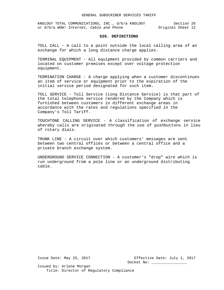KNOLOGY TOTAL COMMUNICATIONS, INC., d/b/a KNOLOGY Section 26 or d/b/a *WOW!* Internet, Cable and Phone **Original** Sheet 12

#### **S26. DEFINITIONS**

TOLL CALL - A call to a point outside the local calling area of an exchange for which a long distance charge applies.

TERMINAL EQUIPMENT - All equipment provided by common carriers and located on customer premises except over voltage protection equipment.

TERMINATION CHARGE - A charge applying when a customer discontinues an item of service or equipment prior to the expiration of the initial service period designated for such item.

TOLL SERVICE - Toll Service (Long Distance Service) is that part of the total telephone service rendered by the Company which is furnished between customers in different exchange areas in accordance with the rates and regulations specified in the Company's Toll Tariff.

TOUCHTONE CALLING SERVICE - A classification of exchange service whereby calls are originated through the use of pushbuttons in lieu of rotary dials.

TRUNK LINE - A circuit over which customers' messages are sent between two central offices or between a central office and a private branch exchange system.

UNDERGROUND SERVICE CONNECTION - A customer's "drop" wire which is run underground from a pole line or an underground distributing cable.

Issue Date: May 25, 2017 Effective Date: July 1, 2017 Docket No: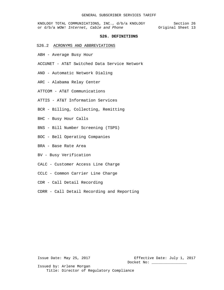KNOLOGY TOTAL COMMUNICATIONS, INC., d/b/a KNOLOGY Section 26 or d/b/a *WOW!* Internet, Cable and Phone **Original** Sheet 13

#### **S26. DEFINITIONS**

- S26.2 ACRONYMS AND ABBREVIATIONS
- ABH Average Busy Hour
- ACCUNET AT&T Switched Data Service Network
- AND Automatic Network Dialing
- ARC Alabama Relay Center
- ATTCOM AT&T Communications
- ATTIS AT&T Information Services
- BCR Billing, Collecting, Remitting
- BHC Busy Hour Calls
- BNS Bill Number Screening (TSPS)
- BOC Bell Operating Companies
- BRA Base Rate Area
- BV Busy Verification
- CALC Customer Access Line Charge
- CCLC Common Carrier Line Charge
- CDR Call Detail Recording
- CDRR Call Detail Recording and Reporting

Issue Date: May 25, 2017 Effective Date: July 1, 2017 Docket No: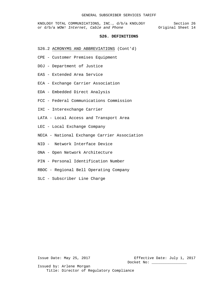KNOLOGY TOTAL COMMUNICATIONS, INC., d/b/a KNOLOGY Section 26 or d/b/a *WOW!* Internet, Cable and Phone **Original** Sheet 14

#### **S26. DEFINITIONS**

- S26.2 ACRONYMS AND ABBREVIATIONS (Cont'd)
- CPE Customer Premises Equipment
- DOJ Department of Justice
- EAS Extended Area Service
- ECA Exchange Carrier Association
- EDA Embedded Direct Analysis
- FCC Federal Communications Commission
- IXC Interexchange Carrier
- LATA Local Access and Transport Area
- LEC Local Exchange Company
- NECA National Exchange Carrier Association
- NID Network Interface Device
- ONA Open Network Architecture
- PIN Personal Identification Number
- RBOC Regional Bell Operating Company
- SLC Subscriber Line Charge

Issue Date: May 25, 2017 Effective Date: July 1, 2017 Docket No: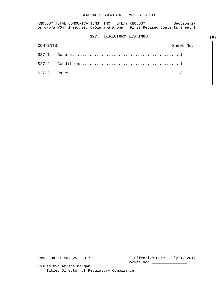KNOLOGY TOTAL COMMUNICATIONS, INC., d/b/a KNOLOGY Section 27 or d/b/a *WOW! Internet, Cable and Phone* First Revised Contents Sheet 1

# **S27. DIRECTORY LISTINGS**

| CONTENTS | Sheet No. |  |
|----------|-----------|--|
|          |           |  |
|          |           |  |
|          |           |  |

Issue Date: May 25, 2017 Effective Date: July 1, 2017 Docket No: \_\_\_\_\_\_\_\_\_\_\_\_\_\_\_\_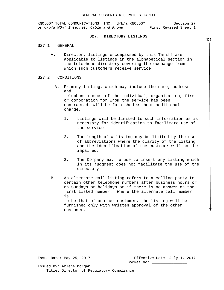KNOLOGY TOTAL COMMUNICATIONS, INC., d/b/a KNOLOGY Section 27<br>or d/b/a WOW! Internet, Cable and Phone First Revised Sheet 1 or d/b/a WOW! Internet, Cable and Phone

### **S27. DIRECTORY LISTINGS**

#### S27.1 GENERAL

A. Directory listings encompassed by this Tariff are applicable to listings in the alphabetical section in the telephone directory covering the exchange from which such customers receive service.

#### S27.2 CONDITIONS

- A. Primary listing, which may include the name, address and telephone number of the individual, organization, firm or corporation for whom the service has been contracted, will be furnished without additional charge.
	- 1. Listings will be limited to such information as is necessary for identification to facilitate use of the service.
	- 2. The length of a listing may be limited by the use of abbreviations where the clarity of the listing and the identification of the customer will not be impaired.
	- 3. The Company may refuse to insert any listing which in its judgment does not facilitate the use of the directory.
- B. An alternate call listing refers to a calling party to certain other telephone numbers after business hours or on Sundays or holidays or if there is no answer on the first listed number. Where the alternate call number is to be that of another customer, the listing will be furnished only with written approval of the other customer.

Issue Date: May 25, 2017 Effective Date: July 1, 2017 Docket No: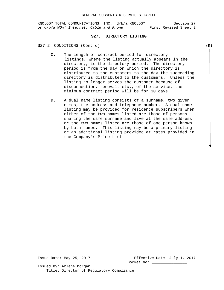# **S27. DIRECTORY LISTING**

S27.2 CONDITIONS (Cont'd)

- C. The length of contract period for directory listings, where the listing actually appears in the directory, is the directory period. The directory period is from the day on which the directory is distributed to the customers to the day the succeeding directory is distributed to the customers. Unless the listing no longer serves the customer because of disconnection, removal, etc., of the service, the minimum contract period will be for 30 days.
- D. A dual name listing consists of a surname, two given names, the address and telephone number. A dual name listing may be provided for residence subscribers when either of the two names listed are those of persons sharing the same surname and live at the same address or the two names listed are those of one person known by both names. This listing may be a primary listing or an additional listing provided at rates provided in the Company's Price List.

Issue Date: May 25, 2017 Effective Date: July 1, 2017 Docket No:

Issued by: Arlene Morgan Title: Director of Regulatory Compliance  **(D)**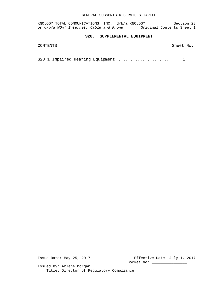KNOLOGY TOTAL COMMUNICATIONS, INC., d/b/a KNOLOGY Section 28 or d/b/a *WOW! Internet, Cable and Phone* Original Contents Sheet 1

# **S28. SUPPLEMENTAL EQUIPMENT**

# CONTENTS Sheet No.

S28.1 Impaired Hearing Equipment ...................... 1

Issue Date: May 25, 2017 Effective Date: July 1, 2017 Docket No: \_\_\_\_\_\_\_\_\_\_\_\_\_\_\_\_\_\_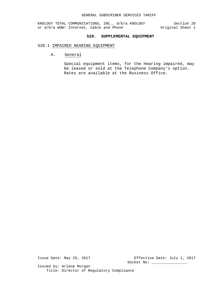# **S28. SUPPLEMENTAL EQUIPMENT**

# S28.1 IMPAIRED HEARING EQUIPMENT

A. General

Special equipment items, for the hearing impaired, may be leased or sold at the Telephone Company's option. Rates are available at the Business Office.

Issue Date: May 25, 2017 Effective Date: July 1, 2017 Docket No: \_\_\_\_\_\_\_\_\_\_\_\_\_\_\_\_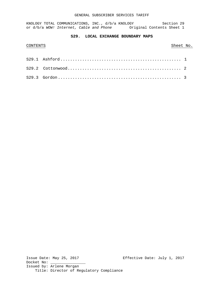KNOLOGY TOTAL COMMUNICATIONS, INC., d/b/a KNOLOGY Section 29 or d/b/a WOW! Internet, Cable and Phone **Original Contents Sheet 1** 

# **S29. LOCAL EXCHANGE BOUNDARY MAPS**

# CONTENTS Sheet No.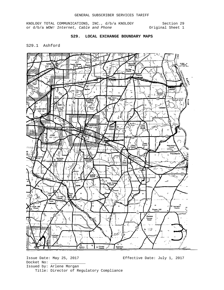# **S29. LOCAL EXCHANGE BOUNDARY MAPS**

S29.1 Ashford

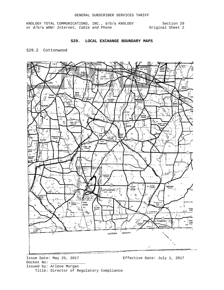# **S29. LOCAL EXCHANGE BOUNDARY MAPS**

# S29.2 Cottonwood

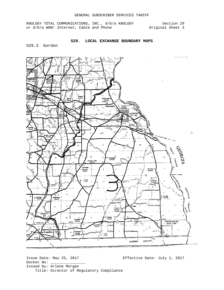### **S29. LOCAL EXCHANGE BOUNDARY MAPS**

S29.3 Gordon

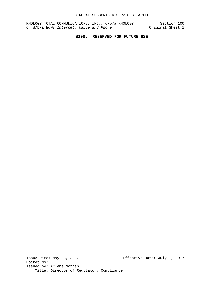# **S100. RESERVED FOR FUTURE USE**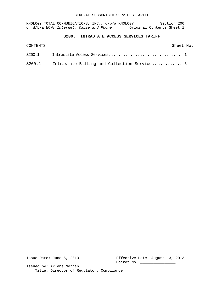KNOLOGY TOTAL COMMUNICATIONS, INC., d/b/a KNOLOGY Section 200 or d/b/a WOW! Internet, Cable and Phone **Original Contents Sheet 1** 

# **S200. INTRASTATE ACCESS SERVICES TARIFF**

| CONTENTS |                                                    | Sheet No. |  |
|----------|----------------------------------------------------|-----------|--|
|          |                                                    |           |  |
|          | S200.2 Intrastate Billing and Collection Service 5 |           |  |

Issue Date: June 5, 2013 Effective Date: August 13, 2013 Docket No: \_\_\_\_\_\_\_\_\_\_\_\_\_\_\_\_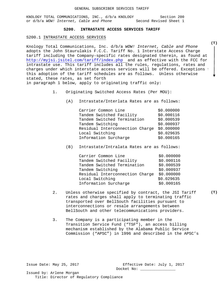# **S200. INTRASTATE ACCESS SERVICES TARIFF**

#### S200.1 INTRASTATE ACCESS SERVICES

Knology Total Communications, Inc. d/b/a *WOW! Internet, Cable and Phone* adopts the John Staurulakis F.C.C. Tariff No. 1 Interstate Access Charge tariff including the Company-specific rates designated therein, as found at <http://myjsi.jsitel.com/tariff/index.php> and as effective with the FCC for intrastate use. This tariff includes all the rules, regulations, rates and charges under which interstate access services will be offered. Exceptions t this adoption of the tariff schedules are as follows. Unless otherwise stated, these rates, as set forth in paragraph 1 below, apply to originating traffic only:

- 1. Originating Switched Access Rates (Per MOU):
	- (A) Intrastate/Interlata Rates are as follows:

| Carrier Common Line             | \$0.000000 |
|---------------------------------|------------|
| Tandem Switched Facility        | \$0.000116 |
| Tandem Switched Termination     | \$0.000539 |
| Tandem Switching                | \$0.000937 |
| Residual Interconnection Charge | \$0.000000 |
| Local Switching                 | \$0.029635 |
| Information Surcharge           | \$0.000165 |

(B) Intrastate/Intralata Rates are as follows:

| Carrier Common Line             | \$0.000000 |
|---------------------------------|------------|
| Tandem Switched Facility        | \$0.000116 |
| Tandem Switched Termination     | \$0.000539 |
| Tandem Switching                | \$0.000937 |
| Residual Interconnection Charge | \$0.000000 |
| Local Switching                 | \$0.029635 |
| Information Surcharge           | \$0.000165 |
|                                 |            |

- 2. Unless otherwise specified by contract, the JSI Tariff rates and charges shall apply to terminating traffic transported over BellSouth facilities pursuant to interconnections or resale arrangements between BellSouth and other telecommunications providers.
- 3. The Company is a participating member in the Transition Service Fund ("TSF"), an access billing mechanism established by the Alabama Public Service Commission ("APSC") in 1996 and described in the APSC's

Issue Date: May 25, 2017 Effective Date: July 1, 2017 Docket No: \_\_\_\_\_\_\_\_\_\_\_\_\_\_\_\_

Issued by: Arlene Morgan Title: Director of Regulatory Compliance **(T)**

**(T)**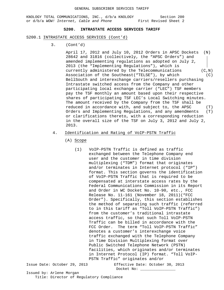#### **S200. INTRASTATE ACCESS SERVICES TARIFF**

#### S200.1 INTRASTATE ACCESS SERVICES (Cont'd)

3. (Cont'd)

April 17, 2012 and July 10, 2012 Orders in APSC Dockets (N) 28642 and 31816 (collectively, the "APSC Orders") and amended implementing regulations as adopted on July 2, 2013 (the "Implementing Regulations"), which is currently administered by the Telecommunications (C,N) Association of the Southeast("TELSE"), by which (C) BellSouth and interexchange carriers/resellers purchasing Intrastate switched access from the Company and other participating local exchange carrier ("LEC") TSF members pay the TSF monthly an amount based upon their respective shares of participating TSF LEC's Local Switching minutes. The amount received by the Company from the TSF shall be reduced in accordance with, and subject to, the APSC (T) Orders and Implementing Regulations, and any amendments (T) or clarifications thereto, with a corresponding reduction in the overall size of the TSF on July 3, 2012 and July 2, 2013.

# 4. Identification and Rating of VoIP-PSTN Traffic

- (A) Scope
	- (1) VoIP-PSTN Traffic is defined as traffic exchanged between the Telephone Company end user and the customer in time division multiplexing ("TDM") format that originates and/or terminates in Internet protocol ("IP") format. This section governs the identification of VoIP-PSTN Traffic that is required to be compensated at interstate access rates by the Federal Communications Commission in its Report and Order in WC Docket No. 10-90, etc., FCC Release No. 11-161 (November 18, 2011)("FCC Order"). Specifically, this section establishes the method of separating such traffic (referred to in this tariff as "Toll VoIP-PSTN Traffic") from the customer's traditional intrastate access traffic, so that such Toll VoIP-PSTN Traffic can be billed in accordance with the FCC Order. The term "Toll VoIP-PSTN Traffic" denotes a customer's interexchange voice traffic exchanged with the Telephone Company in Time Division Multiplexing format over Public Switched Telephone Network (PSTN) facilities, which originates and/or terminates in Internet Protocol (IP) format. "Toll VoIP-PSTN Traffic" originates and/or

Issue Date: October 29, 2013 Effective Date: October 30, 2013 Docket No: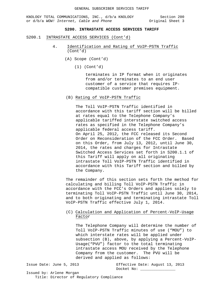KNOLOGY TOTAL COMMUNICATIONS, INC., d/b/a KNOLOGY Section 200<br>or d/b/a WOW! Internet, Cable and Phone 0riginal Sheet 3 or d/b/a WOW! Internet, Cable and Phone

# **S200. INTRASTATE ACCESS SERVICES TARIFF**

- S200.1 INTRASTATE ACCESS SERVICES (Cont'd)
	- 4. Identification and Rating of VoIP-PSTN Traffic (Cont'd)
		- (A) Scope (Cont'd)
			- (1) (Cont'd)

terminates in IP format when it originates from and/or terminates to an end user customer of a service that requires IPcompatible customer premises equipment.

(B) Rating of VoIP-PSTN Traffic

The Toll VoIP-PSTN Traffic identified in accordance with this tariff section will be billed at rates equal to the Telephone Company's applicable tariffed interstate switched access rates as specified in the Telephone Company's applicable federal access tariff. On April 25, 2012, the FCC released its Second Order on Reconsideration of the FCC Order. Based on this Order, from July 13, 2012, until June 30, 2014, the rates and charges for Intrastate Switched Access Services set forth in S200.1.1 of this Tariff will apply on all originating intrastate Toll VoIP-PSTN Traffic identified in accordance with this Tariff section and billed by the Company.

The remainder of this section sets forth the method for calculating and billing Toll VoIP-PSTN Traffic in accordance with the FCC's Orders and applies solely to terminating Toll VoIP-PSTN Traffic until June 30, 2014, and to both originating and terminating intrastate Toll VoIP-PSTN Traffic effective July 1, 2014.

# (C) Calculation and Application of Percent-VoIP-Usage Factor

The Telephone Company will determine the number of Toll VoIP-PSTN Traffic minutes of use ("MOU") to which interstate rates will be applied under subsection (B), above, by applying a Percent-VoIP-Usage("PVU") factor to the total terminating intrastate access MOU received by the Telephone Company from the customer. The PVU will be derived and applied as follows:

Issue Date: June 5, 2013 Effective Date: August 13, 2013 Docket No: \_\_\_\_\_\_\_\_\_\_\_\_\_\_\_\_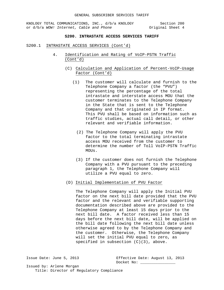KNOLOGY TOTAL COMMUNICATIONS, INC., d/b/a KNOLOGY Section 200<br>or d/b/a WOW! Internet, Cable and Phone (2008) Original Sheet 4 or d/b/a WOW! Internet, Cable and Phone

## **S200. INTRASTATE ACCESS SERVICES TARIFF**

#### S200.1 INTRASTATE ACCESS SERVICES (Cont'd)

- 4. Identification and Rating of VoIP-PSTN Traffic (Cont'd)
	- (C) Calculation and Application of Percent-VoIP-Usage Factor (Cont'd)
		- (1) The customer will calculate and furnish to the Telephone Company a factor (the "PVU") representing the percentage of the total intrastate and interstate access MOU that the customer terminates to the Telephone Company in the State that is sent to the Telephone Company and that originated in IP format. This PVU shall be based on information such as traffic studies, actual call detail, or other relevant and verifiable information.
			- (2) The Telephone Company will apply the PVU factor to the total terminating intrastate access MOU received from the customer to determine the number of Toll VoIP-PSTN Traffic MOUs.
			- (3) If the customer does not furnish the Telephone Company with a PVU pursuant to the preceding paragraph 1, the Telephone Company will utilize a PVU equal to zero.
	- (D) Initial Implementation of PVU Factor

The Telephone Company will apply the Initial PVU factor on the next bill date provided that the PVU factor and the relevant and verifiable supporting documentation described above are provided to the Telephone Company at least 15 days prior to the next bill date. A factor received less than 15 days before the next bill date, will be applied on the bill date following the next bill date unless otherwise agreed to by the Telephone Company and the customer. Otherwise, the Telephone Company will set the initial PVU equal to zero, as specified in subsection (C)(3), above.

Issue Date: June 5, 2013 Effective Date: August 13, 2013 Docket No: \_\_\_\_\_\_\_\_\_\_\_\_\_\_\_\_ Issued by: Arlene Morgan

Title: Director of Regulatory Compliance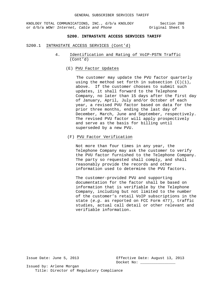KNOLOGY TOTAL COMMUNICATIONS, INC., d/b/a KNOLOGY Section 200<br>
or d/b/a WOW! Internet, Cable and Phone (2013) Original Sheet 5 or d/b/a WOW! Internet, Cable and Phone

## **S200. INTRASTATE ACCESS SERVICES TARIFF**

#### S200.1 INTRASTATE ACCESS SERVICES (Cont'd)

- 4. Identification and Rating of VoIP-PSTN Traffic (Cont'd)
	- (E) PVU Factor Updates

 The customer may update the PVU factor quarterly using the method set forth in subsection  $(C)(1)$ , above. If the customer chooses to submit such updates, it shall forward to the Telephone Company, no later than 15 days after the first day of January, April, July and/or October of each year, a revised PVU factor based on data for the prior three months, ending the last day of December, March, June and September, respectively. The revised PVU factor will apply prospectively and serve as the basis for billing until superseded by a new PVU.

### (F) PVU Factor Verification

Not more than four times in any year, the Telephone Company may ask the customer to verify the PVU factor furnished to the Telephone Company. The party so requested shall comply, and shall reasonably provide the records and other information used to determine the PVU factors.

The customer-provided PVU and supporting documentation for the factor shall be based on information that is verifiable by the Telephone Company, including but not limited to the number of the customer's retail VoIP subscriptions in the state (*e.g.* as reported on FCC Form 477), traffic studies, actual call detail or other relevant and verifiable information.

Issue Date: June 5, 2013 Effective Date: August 13, 2013 Docket No:

Issued by: Arlene Morgan Title: Director of Regulatory Compliance